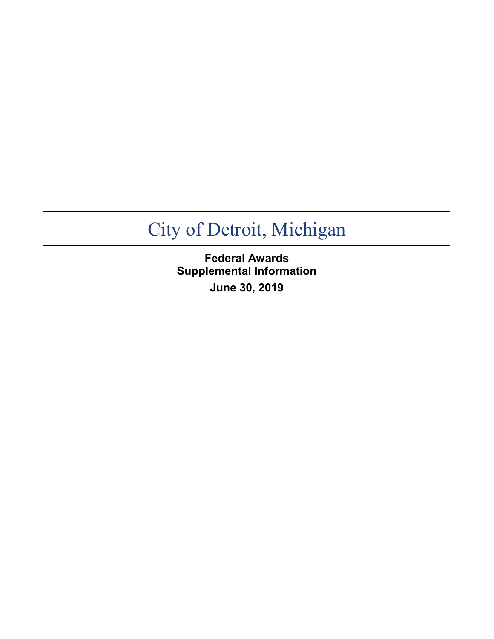**Federal Awards Supplemental Information June 30, 2019**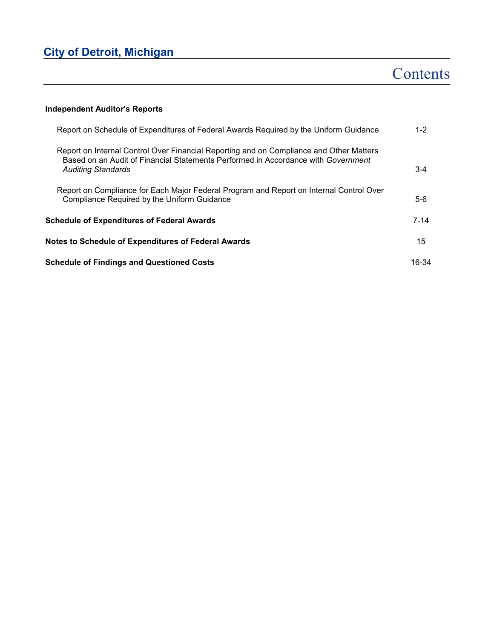# **Contents**

### **Independent Auditor's Reports**

| Report on Schedule of Expenditures of Federal Awards Required by the Uniform Guidance                                                                                                                     | $1 - 2$  |
|-----------------------------------------------------------------------------------------------------------------------------------------------------------------------------------------------------------|----------|
| Report on Internal Control Over Financial Reporting and on Compliance and Other Matters<br>Based on an Audit of Financial Statements Performed in Accordance with Government<br><b>Auditing Standards</b> | $3 - 4$  |
| Report on Compliance for Each Major Federal Program and Report on Internal Control Over<br>Compliance Required by the Uniform Guidance                                                                    | $5-6$    |
| Schedule of Expenditures of Federal Awards                                                                                                                                                                | $7 - 14$ |
| <b>Notes to Schedule of Expenditures of Federal Awards</b>                                                                                                                                                | 15       |
| <b>Schedule of Findings and Questioned Costs</b>                                                                                                                                                          | 16-34    |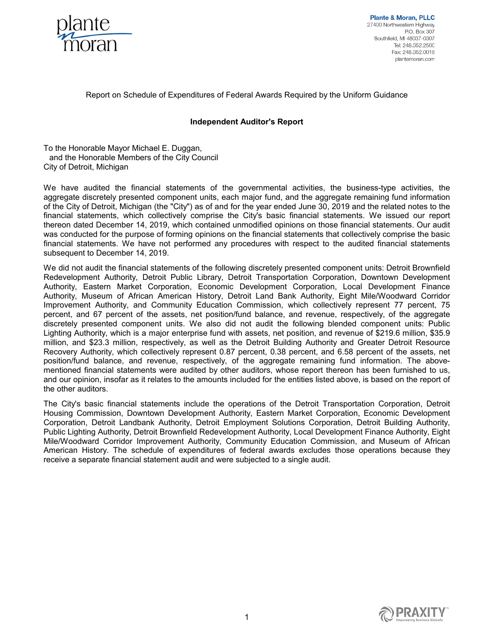

**Plante & Moran, PLLC** 27400 Northwestern Highway P.O. Box 307 Southfield, MI 48037-0307 Tel: 248.352.2500 Fax: 248 352 0018 plantemoran.com

### Report on Schedule of Expenditures of Federal Awards Required by the Uniform Guidance

### **Independent Auditor's Report**

To the Honorable Mayor Michael E. Duggan, and the Honorable Members of the City Council City of Detroit, Michigan

We have audited the financial statements of the governmental activities, the business-type activities, the aggregate discretely presented component units, each major fund, and the aggregate remaining fund information of the City of Detroit, Michigan (the "City") as of and for the year ended June 30, 2019 and the related notes to the financial statements, which collectively comprise the City's basic financial statements. We issued our report thereon dated December 14, 2019, which contained unmodified opinions on those financial statements. Our audit was conducted for the purpose of forming opinions on the financial statements that collectively comprise the basic financial statements. We have not performed any procedures with respect to the audited financial statements subsequent to December 14, 2019.

We did not audit the financial statements of the following discretely presented component units: Detroit Brownfield Redevelopment Authority, Detroit Public Library, Detroit Transportation Corporation, Downtown Development Authority, Eastern Market Corporation, Economic Development Corporation, Local Development Finance Authority, Museum of African American History, Detroit Land Bank Authority, Eight Mile/Woodward Corridor Improvement Authority, and Community Education Commission, which collectively represent 77 percent, 75 percent, and 67 percent of the assets, net position/fund balance, and revenue, respectively, of the aggregate discretely presented component units. We also did not audit the following blended component units: Public Lighting Authority, which is a major enterprise fund with assets, net position, and revenue of \$219.6 million, \$35.9 million, and \$23.3 million, respectively, as well as the Detroit Building Authority and Greater Detroit Resource Recovery Authority, which collectively represent 0.87 percent, 0.38 percent, and 6.58 percent of the assets, net position/fund balance, and revenue, respectively, of the aggregate remaining fund information. The abovementioned financial statements were audited by other auditors, whose report thereon has been furnished to us, and our opinion, insofar as it relates to the amounts included for the entities listed above, is based on the report of the other auditors.

The City's basic financial statements include the operations of the Detroit Transportation Corporation, Detroit Housing Commission, Downtown Development Authority, Eastern Market Corporation, Economic Development Corporation, Detroit Landbank Authority, Detroit Employment Solutions Corporation, Detroit Building Authority, Public Lighting Authority, Detroit Brownfield Redevelopment Authority, Local Development Finance Authority, Eight Mile/Woodward Corridor Improvement Authority, Community Education Commission, and Museum of African American History. The schedule of expenditures of federal awards excludes those operations because they receive a separate financial statement audit and were subjected to a single audit.

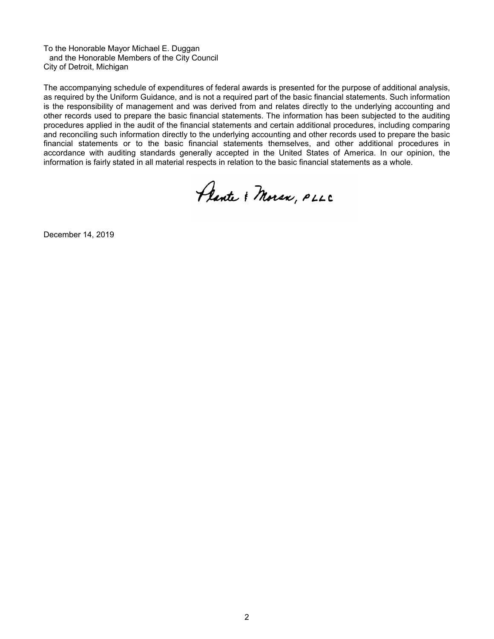To the Honorable Mayor Michael E. Duggan and the Honorable Members of the City Council City of Detroit, Michigan

The accompanying schedule of expenditures of federal awards is presented for the purpose of additional analysis, as required by the Uniform Guidance, and is not a required part of the basic financial statements. Such information is the responsibility of management and was derived from and relates directly to the underlying accounting and other records used to prepare the basic financial statements. The information has been subjected to the auditing procedures applied in the audit of the financial statements and certain additional procedures, including comparing and reconciling such information directly to the underlying accounting and other records used to prepare the basic financial statements or to the basic financial statements themselves, and other additional procedures in accordance with auditing standards generally accepted in the United States of America. In our opinion, the information is fairly stated in all material respects in relation to the basic financial statements as a whole.

Plante & Moran, PLLC

December 14, 2019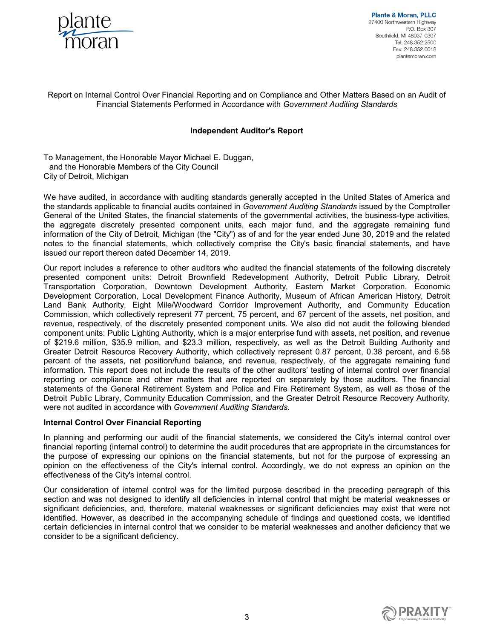

**Plante & Moran, PLLC** 27400 Northwestern Highway P.O. Box 307 Southfield, MI 48037-0307 Tel: 248.352.2500 Fax: 248.352.0018 plantemoran.com

### Report on Internal Control Over Financial Reporting and on Compliance and Other Matters Based on an Audit of Financial Statements Performed in Accordance with *Government Auditing Standards*

### **Independent Auditor's Report**

To Management, the Honorable Mayor Michael E. Duggan, and the Honorable Members of the City Council City of Detroit, Michigan

We have audited, in accordance with auditing standards generally accepted in the United States of America and the standards applicable to financial audits contained in *Government Auditing Standards* issued by the Comptroller General of the United States, the financial statements of the governmental activities, the business-type activities, the aggregate discretely presented component units, each major fund, and the aggregate remaining fund information of the City of Detroit, Michigan (the "City") as of and for the year ended June 30, 2019 and the related notes to the financial statements, which collectively comprise the City's basic financial statements, and have issued our report thereon dated December 14, 2019.

Our report includes a reference to other auditors who audited the financial statements of the following discretely presented component units: Detroit Brownfield Redevelopment Authority, Detroit Public Library, Detroit Transportation Corporation, Downtown Development Authority, Eastern Market Corporation, Economic Development Corporation, Local Development Finance Authority, Museum of African American History, Detroit Land Bank Authority, Eight Mile/Woodward Corridor Improvement Authority, and Community Education Commission, which collectively represent 77 percent, 75 percent, and 67 percent of the assets, net position, and revenue, respectively, of the discretely presented component units. We also did not audit the following blended component units: Public Lighting Authority, which is a major enterprise fund with assets, net position, and revenue of \$219.6 million, \$35.9 million, and \$23.3 million, respectively, as well as the Detroit Building Authority and Greater Detroit Resource Recovery Authority, which collectively represent 0.87 percent, 0.38 percent, and 6.58 percent of the assets, net position/fund balance, and revenue, respectively, of the aggregate remaining fund information. This report does not include the results of the other auditors' testing of internal control over financial reporting or compliance and other matters that are reported on separately by those auditors. The financial statements of the General Retirement System and Police and Fire Retirement System, as well as those of the Detroit Public Library, Community Education Commission, and the Greater Detroit Resource Recovery Authority, were not audited in accordance with *Government Auditing Standards*.

### **Internal Control Over Financial Reporting**

In planning and performing our audit of the financial statements, we considered the City's internal control over financial reporting (internal control) to determine the audit procedures that are appropriate in the circumstances for the purpose of expressing our opinions on the financial statements, but not for the purpose of expressing an opinion on the effectiveness of the City's internal control. Accordingly, we do not express an opinion on the effectiveness of the City's internal control.

Our consideration of internal control was for the limited purpose described in the preceding paragraph of this section and was not designed to identify all deficiencies in internal control that might be material weaknesses or significant deficiencies, and, therefore, material weaknesses or significant deficiencies may exist that were not identified. However, as described in the accompanying schedule of findings and questioned costs, we identified certain deficiencies in internal control that we consider to be material weaknesses and another deficiency that we consider to be a significant deficiency.

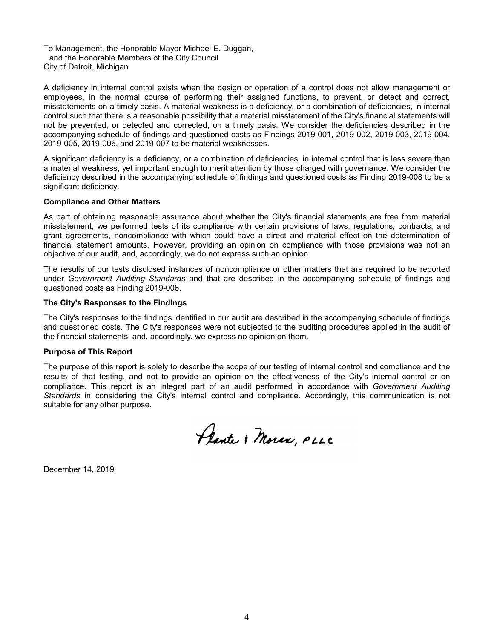To Management, the Honorable Mayor Michael E. Duggan, and the Honorable Members of the City Council City of Detroit, Michigan

A deficiency in internal control exists when the design or operation of a control does not allow management or employees, in the normal course of performing their assigned functions, to prevent, or detect and correct, misstatements on a timely basis. A material weakness is a deficiency, or a combination of deficiencies, in internal control such that there is a reasonable possibility that a material misstatement of the City's financial statements will not be prevented, or detected and corrected, on a timely basis. We consider the deficiencies described in the accompanying schedule of findings and questioned costs as Findings 2019-001, 2019-002, 2019-003, 2019-004, 2019-005, 2019-006, and 2019-007 to be material weaknesses.

A significant deficiency is a deficiency, or a combination of deficiencies, in internal control that is less severe than a material weakness, yet important enough to merit attention by those charged with governance. We consider the deficiency described in the accompanying schedule of findings and questioned costs as Finding 2019-008 to be a significant deficiency.

### **Compliance and Other Matters**

As part of obtaining reasonable assurance about whether the City's financial statements are free from material misstatement, we performed tests of its compliance with certain provisions of laws, regulations, contracts, and grant agreements, noncompliance with which could have a direct and material effect on the determination of financial statement amounts. However, providing an opinion on compliance with those provisions was not an objective of our audit, and, accordingly, we do not express such an opinion.

The results of our tests disclosed instances of noncompliance or other matters that are required to be reported under *Government Auditing Standards* and that are described in the accompanying schedule of findings and questioned costs as Finding 2019-006.

#### **The City's Responses to the Findings**

The City's responses to the findings identified in our audit are described in the accompanying schedule of findings and questioned costs. The City's responses were not subjected to the auditing procedures applied in the audit of the financial statements, and, accordingly, we express no opinion on them.

### **Purpose of This Report**

The purpose of this report is solely to describe the scope of our testing of internal control and compliance and the results of that testing, and not to provide an opinion on the effectiveness of the City's internal control or on compliance. This report is an integral part of an audit performed in accordance with *Government Auditing Standards* in considering the City's internal control and compliance. Accordingly, this communication is not suitable for any other purpose.

Plante & Moran, PLLC

December 14, 2019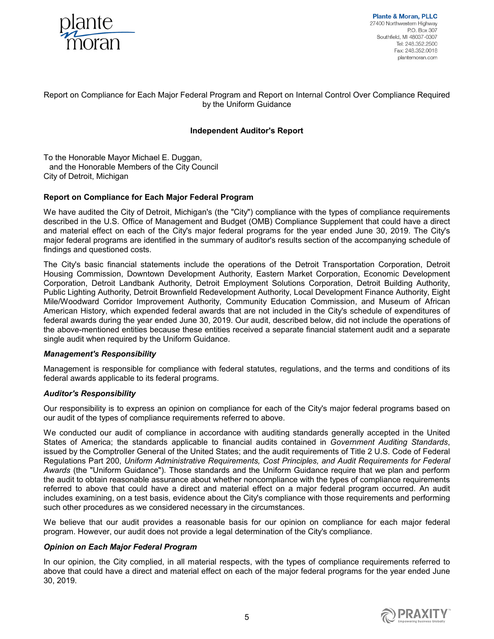

**Plante & Moran, PLLC** 27400 Northwestern Highway P.O. Box 307 Southfield, MI 48037-0307 Tel: 248.352.2500 Fax: 248.352.0018 plantemoran.com

### Report on Compliance for Each Major Federal Program and Report on Internal Control Over Compliance Required by the Uniform Guidance

### **Independent Auditor's Report**

To the Honorable Mayor Michael E. Duggan, and the Honorable Members of the City Council City of Detroit, Michigan

### **Report on Compliance for Each Major Federal Program**

We have audited the City of Detroit, Michigan's (the "City") compliance with the types of compliance requirements described in the U.S. Office of Management and Budget (OMB) Compliance Supplement that could have a direct and material effect on each of the City's major federal programs for the year ended June 30, 2019. The City's major federal programs are identified in the summary of auditor's results section of the accompanying schedule of findings and questioned costs.

The City's basic financial statements include the operations of the Detroit Transportation Corporation, Detroit Housing Commission, Downtown Development Authority, Eastern Market Corporation, Economic Development Corporation, Detroit Landbank Authority, Detroit Employment Solutions Corporation, Detroit Building Authority, Public Lighting Authority, Detroit Brownfield Redevelopment Authority, Local Development Finance Authority, Eight Mile/Woodward Corridor Improvement Authority, Community Education Commission, and Museum of African American History, which expended federal awards that are not included in the City's schedule of expenditures of federal awards during the year ended June 30, 2019. Our audit, described below, did not include the operations of the above-mentioned entities because these entities received a separate financial statement audit and a separate single audit when required by the Uniform Guidance.

### *Management's Responsibility*

Management is responsible for compliance with federal statutes, regulations, and the terms and conditions of its federal awards applicable to its federal programs.

### *Auditor's Responsibility*

Our responsibility is to express an opinion on compliance for each of the City's major federal programs based on our audit of the types of compliance requirements referred to above.

We conducted our audit of compliance in accordance with auditing standards generally accepted in the United States of America; the standards applicable to financial audits contained in *Government Auditing Standards*, issued by the Comptroller General of the United States; and the audit requirements of Title 2 U.S. Code of Federal Regulations Part 200, *Uniform Administrative Requirements, Cost Principles, and Audit Requirements for Federal Awards* (the "Uniform Guidance")*.* Those standards and the Uniform Guidance require that we plan and perform the audit to obtain reasonable assurance about whether noncompliance with the types of compliance requirements referred to above that could have a direct and material effect on a major federal program occurred. An audit includes examining, on a test basis, evidence about the City's compliance with those requirements and performing such other procedures as we considered necessary in the circumstances.

We believe that our audit provides a reasonable basis for our opinion on compliance for each major federal program. However, our audit does not provide a legal determination of the City's compliance.

### *Opinion on Each Major Federal Program*

In our opinion, the City complied, in all material respects, with the types of compliance requirements referred to above that could have a direct and material effect on each of the major federal programs for the year ended June 30, 2019.

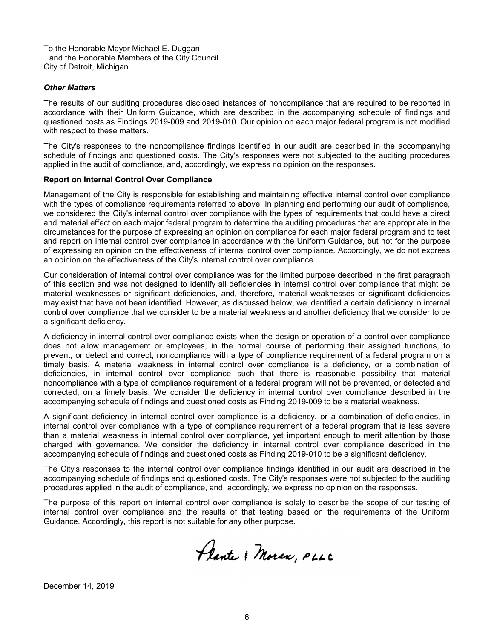To the Honorable Mayor Michael E. Duggan and the Honorable Members of the City Council City of Detroit, Michigan

#### *Other Matters*

The results of our auditing procedures disclosed instances of noncompliance that are required to be reported in accordance with their Uniform Guidance, which are described in the accompanying schedule of findings and questioned costs as Findings 2019-009 and 2019-010. Our opinion on each major federal program is not modified with respect to these matters.

The City's responses to the noncompliance findings identified in our audit are described in the accompanying schedule of findings and questioned costs. The City's responses were not subjected to the auditing procedures applied in the audit of compliance, and, accordingly, we express no opinion on the responses.

#### **Report on Internal Control Over Compliance**

Management of the City is responsible for establishing and maintaining effective internal control over compliance with the types of compliance requirements referred to above. In planning and performing our audit of compliance, we considered the City's internal control over compliance with the types of requirements that could have a direct and material effect on each major federal program to determine the auditing procedures that are appropriate in the circumstances for the purpose of expressing an opinion on compliance for each major federal program and to test and report on internal control over compliance in accordance with the Uniform Guidance, but not for the purpose of expressing an opinion on the effectiveness of internal control over compliance. Accordingly, we do not express an opinion on the effectiveness of the City's internal control over compliance.

Our consideration of internal control over compliance was for the limited purpose described in the first paragraph of this section and was not designed to identify all deficiencies in internal control over compliance that might be material weaknesses or significant deficiencies, and, therefore, material weaknesses or significant deficiencies may exist that have not been identified. However, as discussed below, we identified a certain deficiency in internal control over compliance that we consider to be a material weakness and another deficiency that we consider to be a significant deficiency.

A deficiency in internal control over compliance exists when the design or operation of a control over compliance does not allow management or employees, in the normal course of performing their assigned functions, to prevent, or detect and correct, noncompliance with a type of compliance requirement of a federal program on a timely basis. A material weakness in internal control over compliance is a deficiency, or a combination of deficiencies, in internal control over compliance such that there is reasonable possibility that material noncompliance with a type of compliance requirement of a federal program will not be prevented, or detected and corrected, on a timely basis. We consider the deficiency in internal control over compliance described in the accompanying schedule of findings and questioned costs as Finding 2019-009 to be a material weakness.

A significant deficiency in internal control over compliance is a deficiency, or a combination of deficiencies, in internal control over compliance with a type of compliance requirement of a federal program that is less severe than a material weakness in internal control over compliance, yet important enough to merit attention by those charged with governance. We consider the deficiency in internal control over compliance described in the accompanying schedule of findings and questioned costs as Finding 2019-010 to be a significant deficiency.

The City's responses to the internal control over compliance findings identified in our audit are described in the accompanying schedule of findings and questioned costs. The City's responses were not subjected to the auditing procedures applied in the audit of compliance, and, accordingly, we express no opinion on the responses.

The purpose of this report on internal control over compliance is solely to describe the scope of our testing of internal control over compliance and the results of that testing based on the requirements of the Uniform Guidance. Accordingly, this report is not suitable for any other purpose.

Plante & Moran, PLLC

December 14, 2019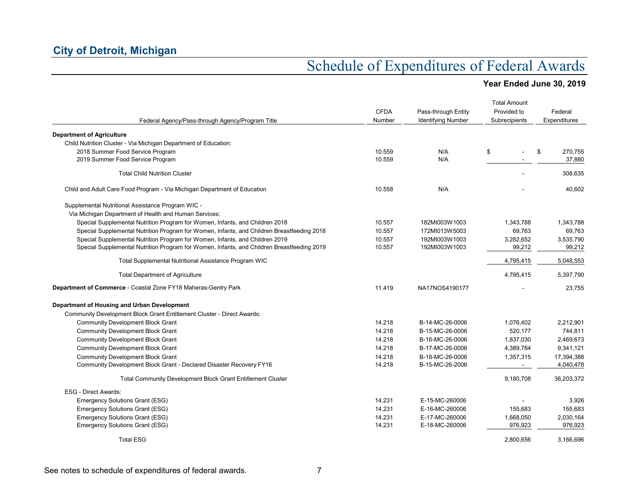| Federal Agency/Pass-through Agency/Program Title                                           | <b>CFDA</b><br>Number | Pass-through Entity<br><b>Identifying Number</b> | <b>Total Amount</b><br>Provided to<br>Subrecipients | Federal<br>Expenditures |
|--------------------------------------------------------------------------------------------|-----------------------|--------------------------------------------------|-----------------------------------------------------|-------------------------|
| <b>Department of Agriculture</b>                                                           |                       |                                                  |                                                     |                         |
| Child Nutrition Cluster - Via Michigan Department of Education:                            |                       |                                                  |                                                     |                         |
| 2018 Summer Food Service Program                                                           | 10.559                | N/A                                              | \$                                                  | \$<br>270,755           |
| 2019 Summer Food Service Program                                                           | 10.559                | N/A                                              |                                                     | 37,880                  |
| <b>Total Child Nutrition Cluster</b>                                                       |                       |                                                  |                                                     | 308,635                 |
| Child and Adult Care Food Program - Via Michigan Department of Education                   | 10.558                | N/A                                              |                                                     | 40,602                  |
| Supplemental Nutritional Assistance Program WIC -                                          |                       |                                                  |                                                     |                         |
| Via Michigan Department of Health and Human Services:                                      |                       |                                                  |                                                     |                         |
| Special Supplemental Nutrition Program for Women, Infants, and Children 2018               | 10.557                | 182MI003W1003                                    | 1,343,788                                           | 1,343,788               |
| Special Supplemental Nutrition Program for Women, Infants, and Children Breastfeeding 2018 | 10.557                | 172MI013W5003                                    | 69,763                                              | 69,763                  |
| Special Supplemental Nutrition Program for Women, Infants, and Children 2019               | 10.557                | 192MI003W1003                                    | 3,282,652                                           | 3,535,790               |
| Special Supplemental Nutrition Program for Women, Infants, and Children Breastfeeding 2019 | 10.557                | 192MI003W1003                                    | 99,212                                              | 99,212                  |
| Total Supplemental Nutritional Assistance Program WIC                                      |                       |                                                  | 4,795,415                                           | 5,048,553               |
| <b>Total Department of Agriculture</b>                                                     |                       |                                                  | 4,795,415                                           | 5,397,790               |
| Department of Commerce - Coastal Zone FY18 Maheras-Gentry Park                             | 11.419                | NA17NOS4190177                                   |                                                     | 23,755                  |
| Department of Housing and Urban Development                                                |                       |                                                  |                                                     |                         |
| Community Development Block Grant Entitlement Cluster - Direct Awards:                     |                       |                                                  |                                                     |                         |
| <b>Community Development Block Grant</b>                                                   | 14.218                | B-14-MC-26-0006                                  | 1,076,402                                           | 2,212,901               |
| <b>Community Development Block Grant</b>                                                   | 14.218                | B-15-MC-26-0006                                  | 520.177                                             | 744.811                 |
| <b>Community Development Block Grant</b>                                                   | 14.218                | B-16-MC-26-0006                                  | 1,837,030                                           | 2,469,673               |
| <b>Community Development Block Grant</b>                                                   | 14.218                | B-17-MC-26-0006                                  | 4,389,784                                           | 9,341,121               |
| <b>Community Development Block Grant</b>                                                   | 14.218                | B-18-MC-26-0006                                  | 1,357,315                                           | 17,394,388              |
| Community Development Block Grant - Declared Disaster Recovery FY16                        | 14.218                | B-15-MC-26-2006                                  | $\sim$                                              | 4,040,478               |
| <b>Total Community Development Block Grant Entitlement Cluster</b>                         |                       |                                                  | 9,180,708                                           | 36,203,372              |
| <b>ESG - Direct Awards:</b>                                                                |                       |                                                  |                                                     |                         |
| Emergency Solutions Grant (ESG)                                                            | 14.231                | E-15-MC-260006                                   |                                                     | 3,926                   |
| <b>Emergency Solutions Grant (ESG)</b>                                                     | 14.231                | E-16-MC-260006                                   | 155,683                                             | 155,683                 |
| <b>Emergency Solutions Grant (ESG)</b>                                                     | 14.231                | E-17-MC-260006                                   | 1,668,050                                           | 2,030,164               |
| <b>Emergency Solutions Grant (ESG)</b>                                                     | 14.231                | E-18-MC-260006                                   | 976,923                                             | 976,923                 |
| <b>Total ESG</b>                                                                           |                       |                                                  | 2,800,656                                           | 3,166,696               |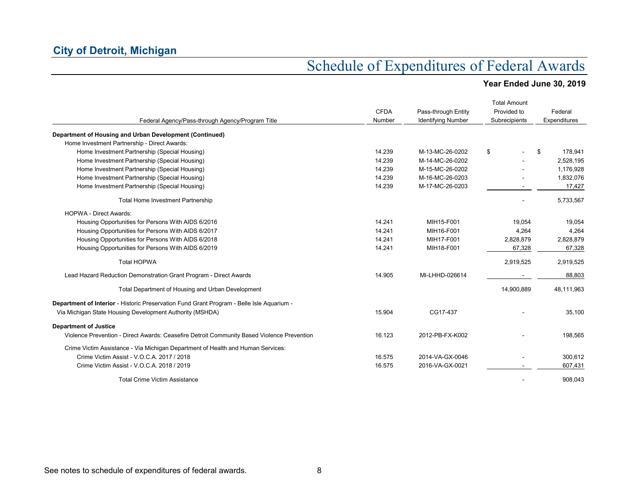|                                                                                            |             |                           | <b>Total Amount</b> |               |
|--------------------------------------------------------------------------------------------|-------------|---------------------------|---------------------|---------------|
|                                                                                            | <b>CFDA</b> | Pass-through Entity       | Provided to         | Federal       |
| Federal Agency/Pass-through Agency/Program Title                                           | Number      | <b>Identifying Number</b> | Subrecipients       | Expenditures  |
| Department of Housing and Urban Development (Continued)                                    |             |                           |                     |               |
| Home Investment Partnership - Direct Awards:                                               |             |                           |                     |               |
| Home Investment Partnership (Special Housing)                                              | 14.239      | M-13-MC-26-0202           | \$                  | \$<br>178,941 |
| Home Investment Partnership (Special Housing)                                              | 14.239      | M-14-MC-26-0202           |                     | 2,528,195     |
| Home Investment Partnership (Special Housing)                                              | 14.239      | M-15-MC-26-0202           |                     | 1,176,928     |
| Home Investment Partnership (Special Housing)                                              | 14.239      | M-16-MC-26-0203           |                     | 1,832,076     |
| Home Investment Partnership (Special Housing)                                              | 14.239      | M-17-MC-26-0203           |                     | 17,427        |
| Total Home Investment Partnership                                                          |             |                           | 5,733,567           |               |
| <b>HOPWA - Direct Awards:</b>                                                              |             |                           |                     |               |
| Housing Opportunities for Persons With AIDS 6/2016                                         | 14.241      | MIH15-F001                | 19.054              | 19,054        |
| Housing Opportunities for Persons With AIDS 6/2017                                         | 14.241      | MIH16-F001                | 4,264               | 4,264         |
| Housing Opportunities for Persons With AIDS 6/2018                                         | 14.241      | MIH17-F001                | 2,828,879           | 2,828,879     |
| Housing Opportunities for Persons With AIDS 6/2019                                         | 14.241      | MIH18-F001                | 67,328              | 67,328        |
| <b>Total HOPWA</b>                                                                         |             |                           | 2,919,525           | 2,919,525     |
| Lead Hazard Reduction Demonstration Grant Program - Direct Awards                          | 14.905      | MI-LHHD-026614            |                     | 88,803        |
| Total Department of Housing and Urban Development                                          |             |                           | 14,900,889          | 48,111,963    |
| Department of Interior - Historic Preservation Fund Grant Program - Belle Isle Aquarium -  |             |                           |                     |               |
| Via Michigan State Housing Development Authority (MSHDA)                                   | 15.904      | CG17-437                  |                     | 35,100        |
| <b>Department of Justice</b>                                                               |             |                           |                     |               |
| Violence Prevention - Direct Awards: Ceasefire Detroit Community Based Violence Prevention | 16.123      | 2012-PB-FX-K002           |                     | 198,565       |
| Crime Victim Assistance - Via Michigan Department of Health and Human Services:            |             |                           |                     |               |
| Crime Victim Assist - V.O.C.A. 2017 / 2018                                                 | 16.575      | 2014-VA-GX-0046           |                     | 300,612       |
| Crime Victim Assist - V.O.C.A. 2018 / 2019                                                 | 16.575      | 2016-VA-GX-0021           |                     | 607,431       |
| <b>Total Crime Victim Assistance</b>                                                       |             |                           |                     | 908.043       |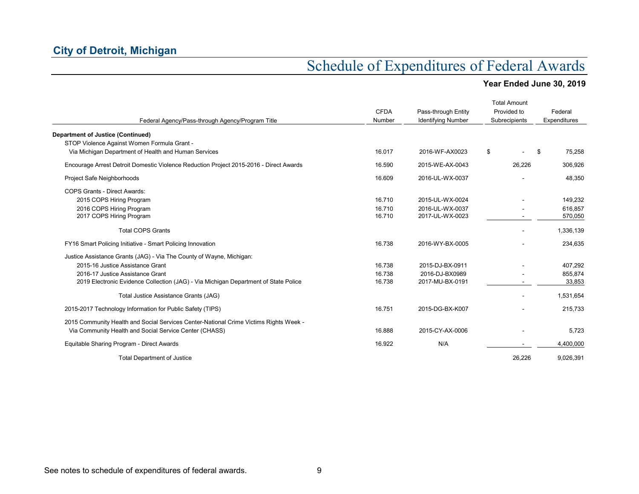|                                                                                        |             |                           | <b>Total Amount</b> |              |
|----------------------------------------------------------------------------------------|-------------|---------------------------|---------------------|--------------|
|                                                                                        | <b>CFDA</b> | Pass-through Entity       | Provided to         | Federal      |
| Federal Agency/Pass-through Agency/Program Title                                       | Number      | <b>Identifying Number</b> | Subrecipients       | Expenditures |
| <b>Department of Justice (Continued)</b>                                               |             |                           |                     |              |
| STOP Violence Against Women Formula Grant -                                            |             |                           |                     |              |
| Via Michigan Department of Health and Human Services                                   | 16.017      | 2016-WF-AX0023            | \$                  | \$<br>75,258 |
| Encourage Arrest Detroit Domestic Violence Reduction Project 2015-2016 - Direct Awards | 16.590      | 2015-WE-AX-0043           | 26.226              | 306,926      |
| Project Safe Neighborhoods                                                             | 16.609      | 2016-UL-WX-0037           |                     | 48,350       |
| <b>COPS Grants - Direct Awards:</b>                                                    |             |                           |                     |              |
| 2015 COPS Hiring Program                                                               | 16.710      | 2015-UL-WX-0024           |                     | 149,232      |
| 2016 COPS Hiring Program                                                               | 16.710      | 2016-UL-WX-0037           |                     | 616,857      |
| 2017 COPS Hiring Program                                                               | 16.710      | 2017-UL-WX-0023           | ٠                   | 570,050      |
| <b>Total COPS Grants</b>                                                               |             |                           |                     | 1,336,139    |
| FY16 Smart Policing Initiative - Smart Policing Innovation                             | 16.738      | 2016-WY-BX-0005           |                     | 234,635      |
| Justice Assistance Grants (JAG) - Via The County of Wayne, Michigan:                   |             |                           |                     |              |
| 2015-16 Justice Assistance Grant                                                       | 16.738      | 2015-DJ-BX-0911           |                     | 407,292      |
| 2016-17 Justice Assistance Grant                                                       | 16.738      | 2016-DJ-BX0989            |                     | 855,874      |
| 2019 Electronic Evidence Collection (JAG) - Via Michigan Department of State Police    | 16.738      | 2017-MU-BX-0191           |                     | 33,853       |
| Total Justice Assistance Grants (JAG)                                                  |             |                           |                     | 1,531,654    |
| 2015-2017 Technology Information for Public Safety (TIPS)                              | 16.751      | 2015-DG-BX-K007           |                     | 215,733      |
| 2015 Community Health and Social Services Center-National Crime Victims Rights Week -  |             |                           |                     |              |
| Via Community Health and Social Service Center (CHASS)                                 | 16.888      | 2015-CY-AX-0006           |                     | 5,723        |
| Equitable Sharing Program - Direct Awards                                              | 16.922      | N/A                       |                     | 4,400,000    |
| <b>Total Department of Justice</b>                                                     |             |                           | 26,226              | 9,026,391    |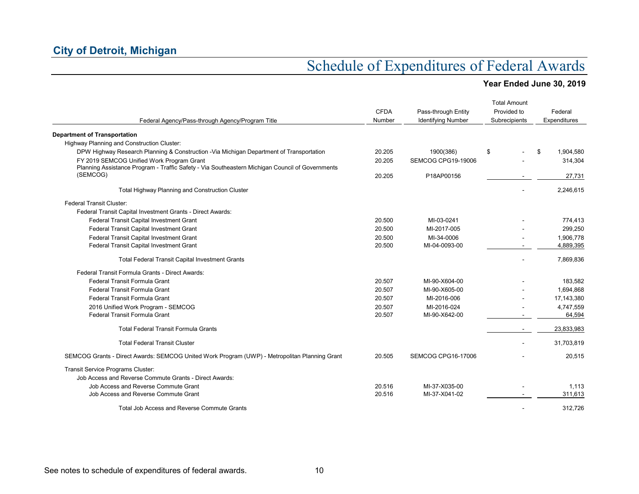| Federal Agency/Pass-through Agency/Program Title                                                | <b>CFDA</b><br>Number | Pass-through Entity<br><b>Identifying Number</b> | <b>Total Amount</b><br>Provided to<br>Subrecipients | Federal<br>Expenditures |
|-------------------------------------------------------------------------------------------------|-----------------------|--------------------------------------------------|-----------------------------------------------------|-------------------------|
| <b>Department of Transportation</b>                                                             |                       |                                                  |                                                     |                         |
| Highway Planning and Construction Cluster:                                                      |                       |                                                  |                                                     |                         |
| DPW Highway Research Planning & Construction - Via Michigan Department of Transportation        | 20.205                | 1900(386)                                        | \$                                                  | \$<br>1,904,580         |
| FY 2019 SEMCOG Unified Work Program Grant                                                       | 20.205                | SEMCOG CPG19-19006                               |                                                     | 314,304                 |
| Planning Assistance Program - Traffic Safety - Via Southeastern Michigan Council of Governments |                       |                                                  |                                                     |                         |
| (SEMCOG)                                                                                        | 20.205                | P18AP00156                                       |                                                     | 27,731                  |
| Total Highway Planning and Construction Cluster                                                 |                       |                                                  |                                                     | 2.246.615               |
| <b>Federal Transit Cluster:</b>                                                                 |                       |                                                  |                                                     |                         |
| Federal Transit Capital Investment Grants - Direct Awards:                                      |                       |                                                  |                                                     |                         |
| Federal Transit Capital Investment Grant                                                        | 20.500                | MI-03-0241                                       |                                                     | 774,413                 |
| Federal Transit Capital Investment Grant                                                        | 20.500                | MI-2017-005                                      |                                                     | 299,250                 |
| Federal Transit Capital Investment Grant                                                        | 20.500                | MI-34-0006                                       |                                                     | 1,906,778               |
| Federal Transit Capital Investment Grant                                                        | 20.500                | MI-04-0093-00                                    |                                                     | 4,889,395               |
| <b>Total Federal Transit Capital Investment Grants</b>                                          |                       |                                                  |                                                     | 7,869,836               |
| Federal Transit Formula Grants - Direct Awards:                                                 |                       |                                                  |                                                     |                         |
| Federal Transit Formula Grant                                                                   | 20.507                | MI-90-X604-00                                    |                                                     | 183,582                 |
| Federal Transit Formula Grant                                                                   | 20.507                | MI-90-X605-00                                    |                                                     | 1,694,868               |
| Federal Transit Formula Grant                                                                   | 20.507                | MI-2016-006                                      |                                                     | 17,143,380              |
| 2016 Unified Work Program - SEMCOG                                                              | 20.507                | MI-2016-024                                      |                                                     | 4,747,559               |
| Federal Transit Formula Grant                                                                   | 20.507                | MI-90-X642-00                                    |                                                     | 64,594                  |
| <b>Total Federal Transit Formula Grants</b>                                                     |                       |                                                  |                                                     | 23,833,983              |
| <b>Total Federal Transit Cluster</b>                                                            |                       |                                                  |                                                     | 31,703,819              |
| SEMCOG Grants - Direct Awards: SEMCOG United Work Program (UWP) - Metropolitan Planning Grant   | 20.505                | SEMCOG CPG16-17006                               |                                                     | 20,515                  |
| Transit Service Programs Cluster:                                                               |                       |                                                  |                                                     |                         |
| Job Access and Reverse Commute Grants - Direct Awards:                                          |                       |                                                  |                                                     |                         |
| Job Access and Reverse Commute Grant                                                            | 20.516                | MI-37-X035-00                                    |                                                     | 1,113                   |
| Job Access and Reverse Commute Grant                                                            | 20.516                | MI-37-X041-02                                    |                                                     | 311.613                 |
| Total Job Access and Reverse Commute Grants                                                     |                       |                                                  |                                                     | 312,726                 |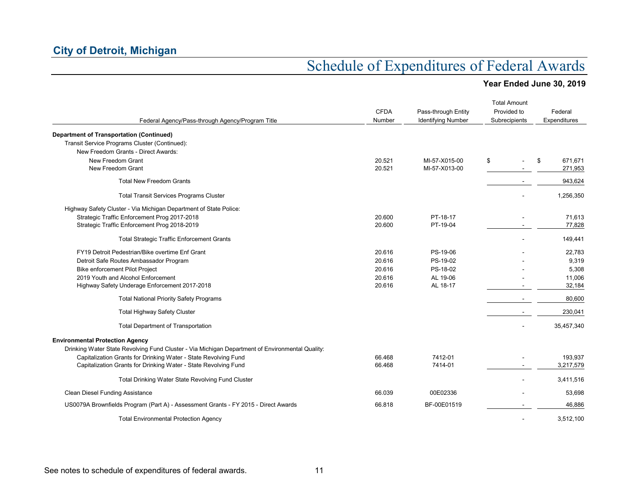|                                                                                                 |                       |                                                  | <b>Total Amount</b>          |                         |
|-------------------------------------------------------------------------------------------------|-----------------------|--------------------------------------------------|------------------------------|-------------------------|
| Federal Agency/Pass-through Agency/Program Title                                                | <b>CFDA</b><br>Number | Pass-through Entity<br><b>Identifying Number</b> | Provided to<br>Subrecipients | Federal<br>Expenditures |
| <b>Department of Transportation (Continued)</b>                                                 |                       |                                                  |                              |                         |
| Transit Service Programs Cluster (Continued):                                                   |                       |                                                  |                              |                         |
| New Freedom Grants - Direct Awards:                                                             |                       |                                                  |                              |                         |
| New Freedom Grant                                                                               | 20.521                | MI-57-X015-00                                    | \$                           | \$<br>671,671           |
| New Freedom Grant                                                                               | 20.521                | MI-57-X013-00                                    |                              | 271,953                 |
| <b>Total New Freedom Grants</b>                                                                 |                       |                                                  |                              | 943,624                 |
| <b>Total Transit Services Programs Cluster</b>                                                  |                       |                                                  |                              | 1,256,350               |
| Highway Safety Cluster - Via Michigan Department of State Police:                               |                       |                                                  |                              |                         |
| Strategic Traffic Enforcement Prog 2017-2018                                                    | 20.600                | PT-18-17                                         |                              | 71,613                  |
| Strategic Traffic Enforcement Prog 2018-2019                                                    | 20.600                | PT-19-04                                         |                              | 77,828                  |
| <b>Total Strategic Traffic Enforcement Grants</b>                                               |                       |                                                  |                              | 149,441                 |
| FY19 Detroit Pedestrian/Bike overtime Enf Grant                                                 | 20.616                | PS-19-06                                         |                              | 22,783                  |
| Detroit Safe Routes Ambassador Program                                                          | 20.616                | PS-19-02                                         |                              | 9,319                   |
| <b>Bike enforcement Pilot Project</b>                                                           | 20.616                | PS-18-02                                         |                              | 5,308                   |
| 2019 Youth and Alcohol Enforcement                                                              | 20.616                | AL 19-06                                         |                              | 11,006                  |
| Highway Safety Underage Enforcement 2017-2018                                                   | 20.616                | AL 18-17                                         |                              | 32,184                  |
| <b>Total National Priority Safety Programs</b>                                                  |                       |                                                  |                              | 80,600                  |
| <b>Total Highway Safety Cluster</b>                                                             |                       |                                                  |                              | 230,041                 |
| <b>Total Department of Transportation</b>                                                       |                       |                                                  |                              | 35,457,340              |
| <b>Environmental Protection Agency</b>                                                          |                       |                                                  |                              |                         |
| Drinking Water State Revolving Fund Cluster - Via Michigan Department of Environmental Quality: |                       |                                                  |                              |                         |
| Capitalization Grants for Drinking Water - State Revolving Fund                                 | 66.468                | 7412-01                                          |                              | 193,937                 |
| Capitalization Grants for Drinking Water - State Revolving Fund                                 | 66.468                | 7414-01                                          |                              | 3,217,579               |
| Total Drinking Water State Revolving Fund Cluster                                               |                       |                                                  |                              | 3,411,516               |
| <b>Clean Diesel Funding Assistance</b>                                                          | 66.039                | 00E02336                                         |                              | 53,698                  |
| US0079A Brownfields Program (Part A) - Assessment Grants - FY 2015 - Direct Awards              | 66.818                | BF-00E01519                                      |                              | 46,886                  |
| <b>Total Environmental Protection Agency</b>                                                    |                       |                                                  |                              | 3,512,100               |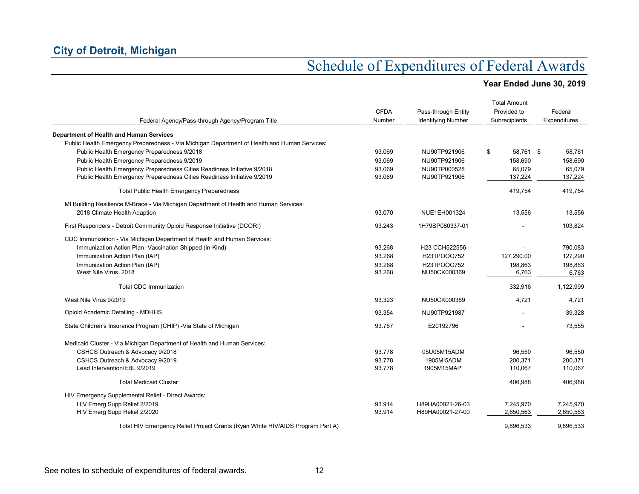| Federal Agency/Pass-through Agency/Program Title                                             | <b>CFDA</b><br>Number | Pass-through Entity<br><b>Identifying Number</b> | <b>Total Amount</b><br>Provided to<br>Subrecipients | Federal<br>Expenditures |
|----------------------------------------------------------------------------------------------|-----------------------|--------------------------------------------------|-----------------------------------------------------|-------------------------|
| Department of Health and Human Services                                                      |                       |                                                  |                                                     |                         |
| Public Health Emergency Preparedness - Via Michigan Department of Health and Human Services: |                       |                                                  |                                                     |                         |
| Public Health Emergency Preparedness 9/2018                                                  | 93.069                | NU90TP921906                                     | 58,761 \$<br>\$                                     | 58,761                  |
| Public Health Emergency Preparedness 9/2019                                                  | 93.069                | NU90TP921906                                     | 158,690                                             | 158,690                 |
| Public Health Emergency Preparedness Cities Readiness Initiative 9/2018                      | 93.069                | NU90TP000528                                     | 65,079                                              | 65,079                  |
| Public Health Emergency Preparedness Cities Readiness Initiative 9/2019                      | 93.069                | NU90TP921906                                     | 137,224                                             | 137,224                 |
| <b>Total Public Health Emergency Preparedness</b>                                            |                       |                                                  | 419,754                                             | 419,754                 |
| MI Building Resilience M-Brace - Via Michigan Department of Health and Human Services:       |                       |                                                  |                                                     |                         |
| 2018 Climate Health Adaption                                                                 | 93.070                | NUE1EH001324                                     | 13,556                                              | 13,556                  |
| First Responders - Detroit Community Opioid Response Initiative (DCORI)                      | 93.243                | 1H79SP080337-01                                  |                                                     | 103,824                 |
| CDC Immunization - Via Michigan Department of Health and Human Services:                     |                       |                                                  |                                                     |                         |
| Immunization Action Plan -Vaccination Shipped (in-Kind)                                      | 93.268                | H23 CCH522556                                    |                                                     | 790,083                 |
| Immunization Action Plan (IAP)                                                               | 93.268                | H23 IPOOO752                                     | 127,290.00                                          | 127,290                 |
| Immunization Action Plan (IAP)                                                               | 93.268                | H23 IPOOO752                                     | 198,863                                             | 198,863                 |
| West Nile Virus 2018                                                                         | 93.268                | NU50CK000369                                     | 6,763                                               | 6,763                   |
| <b>Total CDC Immunization</b>                                                                |                       |                                                  | 332,916                                             | 1,122,999               |
| West Nile Virus 9/2019                                                                       | 93.323                | NU50CK000369                                     | 4,721                                               | 4,721                   |
| Opioid Academic Detailing - MDHHS                                                            | 93.354                | NU90TP921987                                     |                                                     | 39,328                  |
| State Children's Insurance Program (CHIP) - Via State of Michigan                            | 93.767                | E20192796                                        |                                                     | 73,555                  |
| Medicaid Cluster - Via Michigan Department of Health and Human Services:                     |                       |                                                  |                                                     |                         |
| CSHCS Outreach & Advocacy 9/2018                                                             | 93.778                | 05U05M15ADM                                      | 96,550                                              | 96,550                  |
| CSHCS Outreach & Advocacy 9/2019                                                             | 93.778                | 1905MI5ADM                                       | 200,371                                             | 200,371                 |
| Lead Intervention/EBL 9/2019                                                                 | 93.778                | 1905M15MAP                                       | 110,067                                             | 110,067                 |
| <b>Total Medicaid Cluster</b>                                                                |                       |                                                  | 406,988                                             | 406,988                 |
| HIV Emergency Supplemental Relief - Direct Awards:                                           |                       |                                                  |                                                     |                         |
| HIV Emerg Supp Relief 2/2019                                                                 | 93.914                | H89HA00021-26-03                                 | 7.245.970                                           | 7.245.970               |
| HIV Emerg Supp Relief 2/2020                                                                 | 93.914                | H89HA00021-27-00                                 | 2,650,563                                           | 2,650,563               |
| Total HIV Emergency Relief Project Grants (Ryan White HIV/AIDS Program Part A)               |                       |                                                  | 9,896,533                                           | 9,896,533               |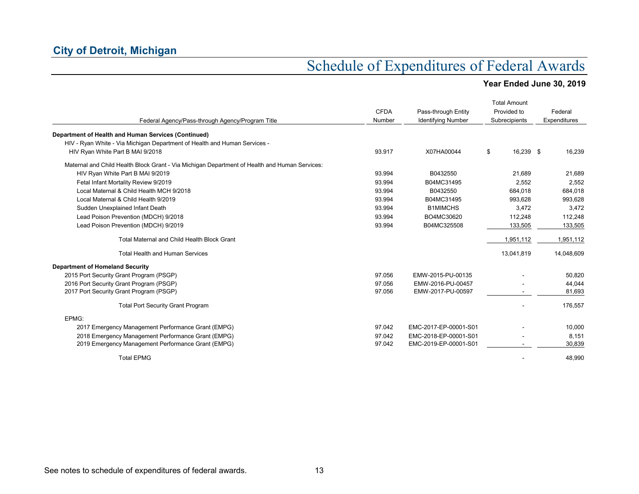| Federal Agency/Pass-through Agency/Program Title                                              | <b>CFDA</b><br>Number | Pass-through Entity<br><b>Identifying Number</b> | <b>Total Amount</b><br>Provided to<br>Subrecipients | Federal<br>Expenditures |
|-----------------------------------------------------------------------------------------------|-----------------------|--------------------------------------------------|-----------------------------------------------------|-------------------------|
| Department of Health and Human Services (Continued)                                           |                       |                                                  |                                                     |                         |
| HIV - Ryan White - Via Michigan Department of Health and Human Services -                     |                       |                                                  |                                                     |                         |
| HIV Ryan White Part B MAI 9/2018                                                              | 93.917                | X07HA00044                                       | 16,239 \$<br>\$                                     | 16,239                  |
|                                                                                               |                       |                                                  |                                                     |                         |
| Maternal and Child Health Block Grant - Via Michigan Department of Health and Human Services: |                       |                                                  |                                                     |                         |
| HIV Ryan White Part B MAI 9/2019                                                              | 93.994                | B0432550                                         | 21.689                                              | 21,689                  |
| Fetal Infant Mortality Review 9/2019                                                          | 93.994                | B04MC31495                                       | 2,552                                               | 2,552                   |
| Local Maternal & Child Health MCH 9/2018                                                      | 93.994                | B0432550                                         | 684.018                                             | 684,018                 |
| Local Maternal & Child Health 9/2019                                                          | 93.994                | B04MC31495                                       | 993.628                                             | 993,628                 |
| Sudden Unexplained Infant Death                                                               | 93.994                | <b>B1MIMCHS</b>                                  | 3,472                                               | 3,472                   |
| Lead Poison Prevention (MDCH) 9/2018                                                          | 93.994                | BO4MC30620                                       | 112,248                                             | 112,248                 |
| Lead Poison Prevention (MDCH) 9/2019                                                          | 93.994                | B04MC325508                                      | 133,505                                             | 133,505                 |
| <b>Total Maternal and Child Health Block Grant</b>                                            |                       |                                                  | 1,951,112                                           | 1,951,112               |
| <b>Total Health and Human Services</b>                                                        |                       |                                                  | 13,041,819                                          | 14,048,609              |
| <b>Department of Homeland Security</b>                                                        |                       |                                                  |                                                     |                         |
| 2015 Port Security Grant Program (PSGP)                                                       | 97.056                | EMW-2015-PU-00135                                |                                                     | 50,820                  |
| 2016 Port Security Grant Program (PSGP)                                                       | 97.056                | EMW-2016-PU-00457                                |                                                     | 44.044                  |
| 2017 Port Security Grant Program (PSGP)                                                       | 97.056                | EMW-2017-PU-00597                                |                                                     | 81,693                  |
| <b>Total Port Security Grant Program</b>                                                      |                       |                                                  |                                                     | 176,557                 |
| EPMG:                                                                                         |                       |                                                  |                                                     |                         |
| 2017 Emergency Management Performance Grant (EMPG)                                            | 97.042                | EMC-2017-EP-00001-S01                            |                                                     | 10,000                  |
| 2018 Emergency Management Performance Grant (EMPG)                                            | 97.042                | EMC-2018-EP-00001-S01                            |                                                     | 8,151                   |
| 2019 Emergency Management Performance Grant (EMPG)                                            | 97.042                | EMC-2019-EP-00001-S01                            |                                                     | 30,839                  |
| <b>Total EPMG</b>                                                                             |                       |                                                  |                                                     | 48.990                  |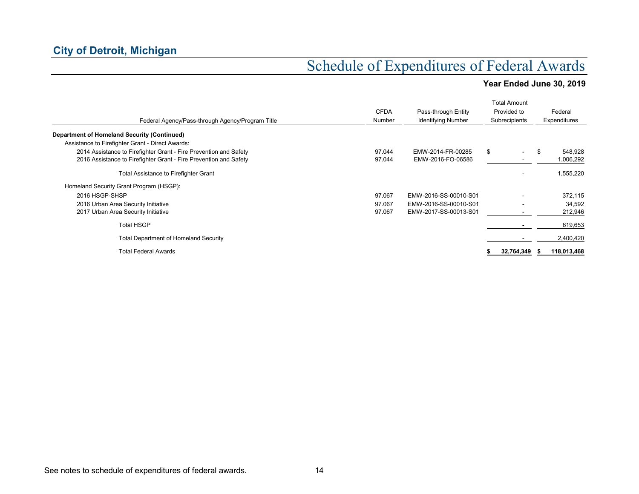|                                                                   |             |                           | <b>Total Amount</b> |            |               |
|-------------------------------------------------------------------|-------------|---------------------------|---------------------|------------|---------------|
|                                                                   | <b>CFDA</b> | Pass-through Entity       | Provided to         |            | Federal       |
| Federal Agency/Pass-through Agency/Program Title                  | Number      | <b>Identifying Number</b> | Subrecipients       |            | Expenditures  |
| Department of Homeland Security (Continued)                       |             |                           |                     |            |               |
| Assistance to Firefighter Grant - Direct Awards:                  |             |                           |                     |            |               |
| 2014 Assistance to Firefighter Grant - Fire Prevention and Safety | 97.044      | EMW-2014-FR-00285         | \$                  |            | \$<br>548,928 |
| 2016 Assistance to Firefighter Grant - Fire Prevention and Safety | 97.044      | EMW-2016-FO-06586         |                     |            | 1,006,292     |
| Total Assistance to Firefighter Grant                             |             |                           |                     |            | 1,555,220     |
| Homeland Security Grant Program (HSGP):                           |             |                           |                     |            |               |
| 2016 HSGP-SHSP                                                    | 97.067      | EMW-2016-SS-00010-S01     |                     |            | 372,115       |
| 2016 Urban Area Security Initiative                               | 97.067      | EMW-2016-SS-00010-S01     |                     |            | 34,592        |
| 2017 Urban Area Security Initiative                               | 97.067      | EMW-2017-SS-00013-S01     |                     |            | 212,946       |
| <b>Total HSGP</b>                                                 |             |                           |                     |            | 619,653       |
| <b>Total Department of Homeland Security</b>                      |             |                           |                     |            | 2,400,420     |
| Total Federal Awards                                              |             |                           |                     | 32,764,349 | 118,013,468   |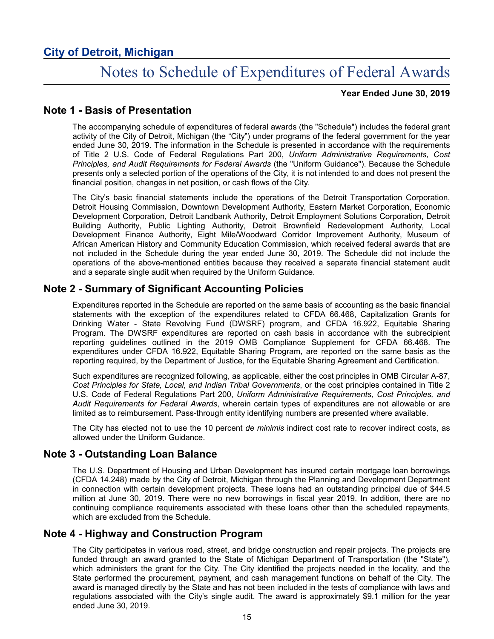# Notes to Schedule of Expenditures of Federal Awards

### **Year Ended June 30, 2019**

### **Note 1 - Basis of Presentation**

The accompanying schedule of expenditures of federal awards (the "Schedule") includes the federal grant activity of the City of Detroit, Michigan (the "City") under programs of the federal government for the year ended June 30, 2019. The information in the Schedule is presented in accordance with the requirements of Title 2 U.S. Code of Federal Regulations Part 200, *Uniform Administrative Requirements, Cost Principles, and Audit Requirements for Federal Awards* (the "Uniform Guidance"). Because the Schedule presents only a selected portion of the operations of the City, it is not intended to and does not present the financial position, changes in net position, or cash flows of the City.

The City's basic financial statements include the operations of the Detroit Transportation Corporation, Detroit Housing Commission, Downtown Development Authority, Eastern Market Corporation, Economic Development Corporation, Detroit Landbank Authority, Detroit Employment Solutions Corporation, Detroit Building Authority, Public Lighting Authority, Detroit Brownfield Redevelopment Authority, Local Development Finance Authority, Eight Mile/Woodward Corridor Improvement Authority, Museum of African American History and Community Education Commission, which received federal awards that are not included in the Schedule during the year ended June 30, 2019. The Schedule did not include the operations of the above-mentioned entities because they received a separate financial statement audit and a separate single audit when required by the Uniform Guidance.

### **Note 2 - Summary of Significant Accounting Policies**

Expenditures reported in the Schedule are reported on the same basis of accounting as the basic financial statements with the exception of the expenditures related to CFDA 66.468, Capitalization Grants for Drinking Water - State Revolving Fund (DWSRF) program, and CFDA 16.922, Equitable Sharing Program. The DWSRF expenditures are reported on cash basis in accordance with the subrecipient reporting guidelines outlined in the 2019 OMB Compliance Supplement for CFDA 66.468. The expenditures under CFDA 16.922, Equitable Sharing Program, are reported on the same basis as the reporting required, by the Department of Justice, for the Equitable Sharing Agreement and Certification.

Such expenditures are recognized following, as applicable, either the cost principles in OMB Circular A-87, *Cost Principles for State, Local, and Indian Tribal Governments*, or the cost principles contained in Title 2 U.S. Code of Federal Regulations Part 200, *Uniform Administrative Requirements, Cost Principles, and Audit Requirements for Federal Awards*, wherein certain types of expenditures are not allowable or are limited as to reimbursement. Pass-through entity identifying numbers are presented where available.

The City has elected not to use the 10 percent *de minimis* indirect cost rate to recover indirect costs, as allowed under the Uniform Guidance.

### **Note 3 - Outstanding Loan Balance**

The U.S. Department of Housing and Urban Development has insured certain mortgage loan borrowings (CFDA 14.248) made by the City of Detroit, Michigan through the Planning and Development Department in connection with certain development projects. These loans had an outstanding principal due of \$44.5 million at June 30, 2019. There were no new borrowings in fiscal year 2019. In addition, there are no continuing compliance requirements associated with these loans other than the scheduled repayments, which are excluded from the Schedule.

### **Note 4 - Highway and Construction Program**

The City participates in various road, street, and bridge construction and repair projects. The projects are funded through an award granted to the State of Michigan Department of Transportation (the "State"), which administers the grant for the City. The City identified the projects needed in the locality, and the State performed the procurement, payment, and cash management functions on behalf of the City. The award is managed directly by the State and has not been included in the tests of compliance with laws and regulations associated with the City's single audit. The award is approximately \$9.1 million for the year ended June 30, 2019.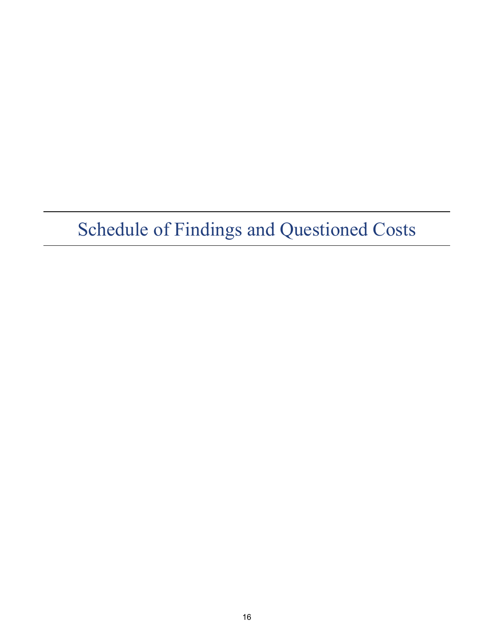# Schedule of Findings and Questioned Costs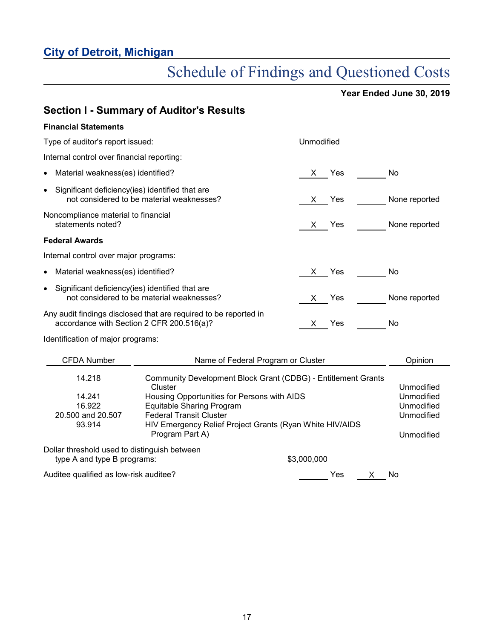# Schedule of Findings and Questioned Costs

|                                                                             | <b>Section I - Summary of Auditor's Results</b>                                                                                                                                                                                                                                                                                                    |             |               |  |
|-----------------------------------------------------------------------------|----------------------------------------------------------------------------------------------------------------------------------------------------------------------------------------------------------------------------------------------------------------------------------------------------------------------------------------------------|-------------|---------------|--|
| <b>Financial Statements</b>                                                 |                                                                                                                                                                                                                                                                                                                                                    |             |               |  |
| Type of auditor's report issued:                                            |                                                                                                                                                                                                                                                                                                                                                    | Unmodified  |               |  |
| Internal control over financial reporting:                                  |                                                                                                                                                                                                                                                                                                                                                    |             |               |  |
| Material weakness(es) identified?<br>$\bullet$                              |                                                                                                                                                                                                                                                                                                                                                    | X Yes       | No            |  |
| Significant deficiency(ies) identified that are<br>$\bullet$                | not considered to be material weaknesses?                                                                                                                                                                                                                                                                                                          | Yes<br>X.   | None reported |  |
| Noncompliance material to financial<br>statements noted?                    |                                                                                                                                                                                                                                                                                                                                                    | Yes<br>X.   | None reported |  |
| <b>Federal Awards</b>                                                       |                                                                                                                                                                                                                                                                                                                                                    |             |               |  |
| Internal control over major programs:                                       |                                                                                                                                                                                                                                                                                                                                                    |             |               |  |
| Material weakness(es) identified?                                           |                                                                                                                                                                                                                                                                                                                                                    | X Yes       | No            |  |
| Significant deficiency(ies) identified that are<br>$\bullet$                | not considered to be material weaknesses?                                                                                                                                                                                                                                                                                                          | Yes<br>X —  | None reported |  |
| accordance with Section 2 CFR 200.516(a)?                                   | Any audit findings disclosed that are required to be reported in                                                                                                                                                                                                                                                                                   | Yes<br>X.   | No            |  |
| Identification of major programs:                                           |                                                                                                                                                                                                                                                                                                                                                    |             |               |  |
| <b>CFDA Number</b>                                                          | Name of Federal Program or Cluster                                                                                                                                                                                                                                                                                                                 |             | Opinion       |  |
| 14.218<br>14.241<br>16.922<br>20.500 and 20.507<br>93.914                   | Community Development Block Grant (CDBG) - Entitlement Grants<br>Cluster<br>Unmodified<br>Housing Opportunities for Persons with AIDS<br>Unmodified<br><b>Equitable Sharing Program</b><br>Unmodified<br><b>Federal Transit Cluster</b><br>Unmodified<br>HIV Emergency Relief Project Grants (Ryan White HIV/AIDS<br>Program Part A)<br>Unmodified |             |               |  |
| Dollar threshold used to distinguish between<br>type A and type B programs: |                                                                                                                                                                                                                                                                                                                                                    | \$3,000,000 |               |  |
| Auditee qualified as low-risk auditee?                                      |                                                                                                                                                                                                                                                                                                                                                    | Yes         | No<br>X       |  |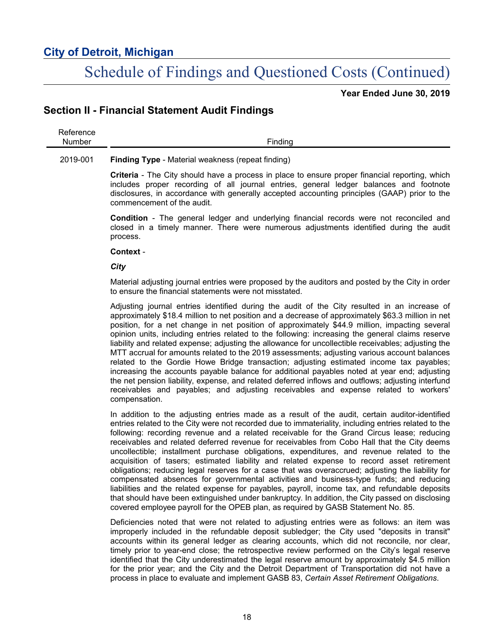# Schedule of Findings and Questioned Costs (Continued)

**Year Ended June 30, 2019**

### **Section II - Financial Statement Audit Findings**

| $ -$ | -<br>$\cdots$ |
|------|---------------|
|      |               |

### 2019-001 **Finding Type** - Material weakness (repeat finding)

**Criteria** - The City should have a process in place to ensure proper financial reporting, which includes proper recording of all journal entries, general ledger balances and footnote disclosures, in accordance with generally accepted accounting principles (GAAP) prior to the commencement of the audit.

**Condition** - The general ledger and underlying financial records were not reconciled and closed in a timely manner. There were numerous adjustments identified during the audit process.

#### **Context** -

### *City*

Material adjusting journal entries were proposed by the auditors and posted by the City in order to ensure the financial statements were not misstated.

Adjusting journal entries identified during the audit of the City resulted in an increase of approximately \$18.4 million to net position and a decrease of approximately \$63.3 million in net position, for a net change in net position of approximately \$44.9 million, impacting several opinion units, including entries related to the following: increasing the general claims reserve liability and related expense; adjusting the allowance for uncollectible receivables; adjusting the MTT accrual for amounts related to the 2019 assessments; adjusting various account balances related to the Gordie Howe Bridge transaction; adjusting estimated income tax payables; increasing the accounts payable balance for additional payables noted at year end; adjusting the net pension liability, expense, and related deferred inflows and outflows; adjusting interfund receivables and payables; and adjusting receivables and expense related to workers' compensation.

In addition to the adjusting entries made as a result of the audit, certain auditor-identified entries related to the City were not recorded due to immateriality, including entries related to the following: recording revenue and a related receivable for the Grand Circus lease; reducing receivables and related deferred revenue for receivables from Cobo Hall that the City deems uncollectible; installment purchase obligations, expenditures, and revenue related to the acquisition of tasers; estimated liability and related expense to record asset retirement obligations; reducing legal reserves for a case that was overaccrued; adjusting the liability for compensated absences for governmental activities and business-type funds; and reducing liabilities and the related expense for payables, payroll, income tax, and refundable deposits that should have been extinguished under bankruptcy. In addition, the City passed on disclosing covered employee payroll for the OPEB plan, as required by GASB Statement No. 85.

Deficiencies noted that were not related to adjusting entries were as follows: an item was improperly included in the refundable deposit subledger; the City used "deposits in transit" accounts within its general ledger as clearing accounts, which did not reconcile, nor clear, timely prior to year-end close; the retrospective review performed on the City's legal reserve identified that the City underestimated the legal reserve amount by approximately \$4.5 million for the prior year; and the City and the Detroit Department of Transportation did not have a process in place to evaluate and implement GASB 83, *Certain Asset Retirement Obligations*.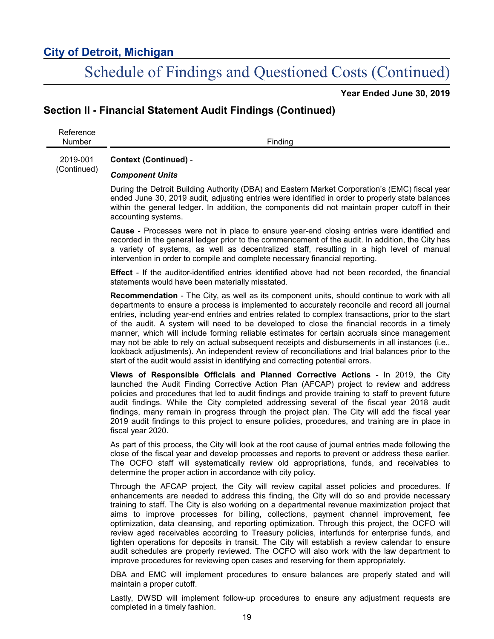# Schedule of Findings and Questioned Costs (Continued)

**Year Ended June 30, 2019**

### **Section II - Financial Statement Audit Findings (Continued)**

Reference Number Finding 2019-001 **Context (Continued)** -

#### (Continued) *Component Units*

During the Detroit Building Authority (DBA) and Eastern Market Corporation's (EMC) fiscal year ended June 30, 2019 audit, adjusting entries were identified in order to properly state balances within the general ledger. In addition, the components did not maintain proper cutoff in their accounting systems.

**Cause** - Processes were not in place to ensure year-end closing entries were identified and recorded in the general ledger prior to the commencement of the audit. In addition, the City has a variety of systems, as well as decentralized staff, resulting in a high level of manual intervention in order to compile and complete necessary financial reporting.

**Effect** - If the auditor-identified entries identified above had not been recorded, the financial statements would have been materially misstated.

**Recommendation** - The City, as well as its component units, should continue to work with all departments to ensure a process is implemented to accurately reconcile and record all journal entries, including year-end entries and entries related to complex transactions, prior to the start of the audit. A system will need to be developed to close the financial records in a timely manner, which will include forming reliable estimates for certain accruals since management may not be able to rely on actual subsequent receipts and disbursements in all instances (i.e., lookback adjustments). An independent review of reconciliations and trial balances prior to the start of the audit would assist in identifying and correcting potential errors.

**Views of Responsible Officials and Planned Corrective Actions** - In 2019, the City launched the Audit Finding Corrective Action Plan (AFCAP) project to review and address policies and procedures that led to audit findings and provide training to staff to prevent future audit findings. While the City completed addressing several of the fiscal year 2018 audit findings, many remain in progress through the project plan. The City will add the fiscal year 2019 audit findings to this project to ensure policies, procedures, and training are in place in fiscal year 2020.

As part of this process, the City will look at the root cause of journal entries made following the close of the fiscal year and develop processes and reports to prevent or address these earlier. The OCFO staff will systematically review old appropriations, funds, and receivables to determine the proper action in accordance with city policy.

Through the AFCAP project, the City will review capital asset policies and procedures. If enhancements are needed to address this finding, the City will do so and provide necessary training to staff. The City is also working on a departmental revenue maximization project that aims to improve processes for billing, collections, payment channel improvement, fee optimization, data cleansing, and reporting optimization. Through this project, the OCFO will review aged receivables according to Treasury policies, interfunds for enterprise funds, and tighten operations for deposits in transit. The City will establish a review calendar to ensure audit schedules are properly reviewed. The OCFO will also work with the law department to improve procedures for reviewing open cases and reserving for them appropriately.

DBA and EMC will implement procedures to ensure balances are properly stated and will maintain a proper cutoff.

Lastly, DWSD will implement follow-up procedures to ensure any adjustment requests are completed in a timely fashion.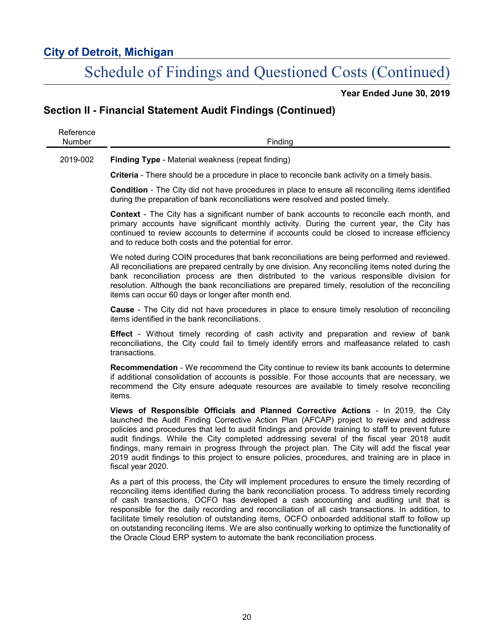# Schedule of Findings and Questioned Costs (Continued)

**Year Ended June 30, 2019**

## **Section II - Financial Statement Audit Findings (Continued)**

| Reference<br>Number | Finding                                                                                                                                                                                                                                                                                                                                                                                                                                                                                                                                                                                                                                                                              |
|---------------------|--------------------------------------------------------------------------------------------------------------------------------------------------------------------------------------------------------------------------------------------------------------------------------------------------------------------------------------------------------------------------------------------------------------------------------------------------------------------------------------------------------------------------------------------------------------------------------------------------------------------------------------------------------------------------------------|
| 2019-002            | <b>Finding Type - Material weakness (repeat finding)</b>                                                                                                                                                                                                                                                                                                                                                                                                                                                                                                                                                                                                                             |
|                     | Criteria - There should be a procedure in place to reconcile bank activity on a timely basis.                                                                                                                                                                                                                                                                                                                                                                                                                                                                                                                                                                                        |
|                     | <b>Condition</b> - The City did not have procedures in place to ensure all reconciling items identified<br>during the preparation of bank reconciliations were resolved and posted timely.                                                                                                                                                                                                                                                                                                                                                                                                                                                                                           |
|                     | <b>Context</b> - The City has a significant number of bank accounts to reconcile each month, and<br>primary accounts have significant monthly activity. During the current year, the City has<br>continued to review accounts to determine if accounts could be closed to increase efficiency<br>and to reduce both costs and the potential for error.                                                                                                                                                                                                                                                                                                                               |
|                     | We noted during COIN procedures that bank reconciliations are being performed and reviewed.<br>All reconciliations are prepared centrally by one division. Any reconciling items noted during the<br>bank reconciliation process are then distributed to the various responsible division for<br>resolution. Although the bank reconciliations are prepared timely, resolution of the reconciling<br>items can occur 60 days or longer after month end.                                                                                                                                                                                                                              |
|                     | <b>Cause</b> - The City did not have procedures in place to ensure timely resolution of reconciling<br>items identified in the bank reconciliations.                                                                                                                                                                                                                                                                                                                                                                                                                                                                                                                                 |
|                     | <b>Effect</b> - Without timely recording of cash activity and preparation and review of bank<br>reconciliations, the City could fail to timely identify errors and malfeasance related to cash<br>transactions.                                                                                                                                                                                                                                                                                                                                                                                                                                                                      |
|                     | <b>Recommendation</b> - We recommend the City continue to review its bank accounts to determine<br>if additional consolidation of accounts is possible. For those accounts that are necessary, we<br>recommend the City ensure adequate resources are available to timely resolve reconciling<br>items.                                                                                                                                                                                                                                                                                                                                                                              |
|                     | Views of Responsible Officials and Planned Corrective Actions - In 2019, the City<br>launched the Audit Finding Corrective Action Plan (AFCAP) project to review and address<br>policies and procedures that led to audit findings and provide training to staff to prevent future<br>audit findings. While the City completed addressing several of the fiscal year 2018 audit<br>findings, many remain in progress through the project plan. The City will add the fiscal year<br>2019 audit findings to this project to ensure policies, procedures, and training are in place in<br>fiscal year 2020.                                                                            |
|                     | As a part of this process, the City will implement procedures to ensure the timely recording of<br>reconciling items identified during the bank reconciliation process. To address timely recording<br>of cash transactions, OCFO has developed a cash accounting and auditing unit that is<br>responsible for the daily recording and reconciliation of all cash transactions. In addition, to<br>facilitate timely resolution of outstanding items, OCFO onboarded additional staff to follow up<br>on outstanding reconciling items. We are also continually working to optimize the functionality of<br>the Oracle Cloud ERP system to automate the bank reconciliation process. |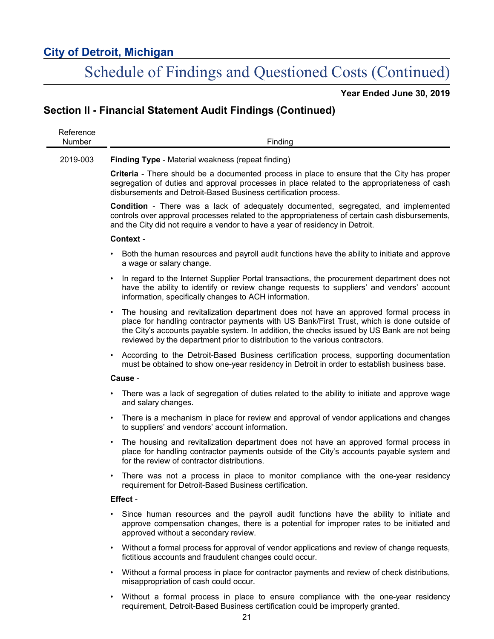# Schedule of Findings and Questioned Costs (Continued)

**Year Ended June 30, 2019**

## **Section II - Financial Statement Audit Findings (Continued)**

| Reference<br>Number | Finding                                                                                                                                                                                                                                                                                                                                                                        |
|---------------------|--------------------------------------------------------------------------------------------------------------------------------------------------------------------------------------------------------------------------------------------------------------------------------------------------------------------------------------------------------------------------------|
| 2019-003            | <b>Finding Type - Material weakness (repeat finding)</b>                                                                                                                                                                                                                                                                                                                       |
|                     | <b>Criteria</b> - There should be a documented process in place to ensure that the City has proper<br>segregation of duties and approval processes in place related to the appropriateness of cash<br>disbursements and Detroit-Based Business certification process.                                                                                                          |
|                     | <b>Condition</b> - There was a lack of adequately documented, segregated, and implemented<br>controls over approval processes related to the appropriateness of certain cash disbursements,<br>and the City did not require a vendor to have a year of residency in Detroit.                                                                                                   |
|                     | Context -                                                                                                                                                                                                                                                                                                                                                                      |
|                     | Both the human resources and payroll audit functions have the ability to initiate and approve<br>a wage or salary change.                                                                                                                                                                                                                                                      |
|                     | In regard to the Internet Supplier Portal transactions, the procurement department does not<br>$\bullet$<br>have the ability to identify or review change requests to suppliers' and vendors' account<br>information, specifically changes to ACH information.                                                                                                                 |
|                     | The housing and revitalization department does not have an approved formal process in<br>$\bullet$<br>place for handling contractor payments with US Bank/First Trust, which is done outside of<br>the City's accounts payable system. In addition, the checks issued by US Bank are not being<br>reviewed by the department prior to distribution to the various contractors. |
|                     | According to the Detroit-Based Business certification process, supporting documentation<br>$\bullet$<br>must be obtained to show one-year residency in Detroit in order to establish business base.                                                                                                                                                                            |
|                     | Cause -                                                                                                                                                                                                                                                                                                                                                                        |
|                     | There was a lack of segregation of duties related to the ability to initiate and approve wage<br>and salary changes.                                                                                                                                                                                                                                                           |
|                     | There is a mechanism in place for review and approval of vendor applications and changes<br>$\bullet$<br>to suppliers' and vendors' account information.                                                                                                                                                                                                                       |
|                     | The housing and revitalization department does not have an approved formal process in<br>place for handling contractor payments outside of the City's accounts payable system and<br>for the review of contractor distributions.                                                                                                                                               |
|                     | There was not a process in place to monitor compliance with the one-year residency<br>$\bullet$<br>requirement for Detroit-Based Business certification.                                                                                                                                                                                                                       |
|                     | Effect -                                                                                                                                                                                                                                                                                                                                                                       |
|                     | Since human resources and the payroll audit functions have the ability to initiate and<br>approve compensation changes, there is a potential for improper rates to be initiated and<br>approved without a secondary review.                                                                                                                                                    |
|                     | Without a formal process for approval of vendor applications and review of change requests,<br>fictitious accounts and fraudulent changes could occur.                                                                                                                                                                                                                         |
|                     | Without a formal process in place for contractor payments and review of check distributions,<br>$\bullet$<br>misappropriation of cash could occur.                                                                                                                                                                                                                             |
|                     | Without a formal process in place to ensure compliance with the one-year residency<br>$\bullet$                                                                                                                                                                                                                                                                                |

requirement, Detroit-Based Business certification could be improperly granted.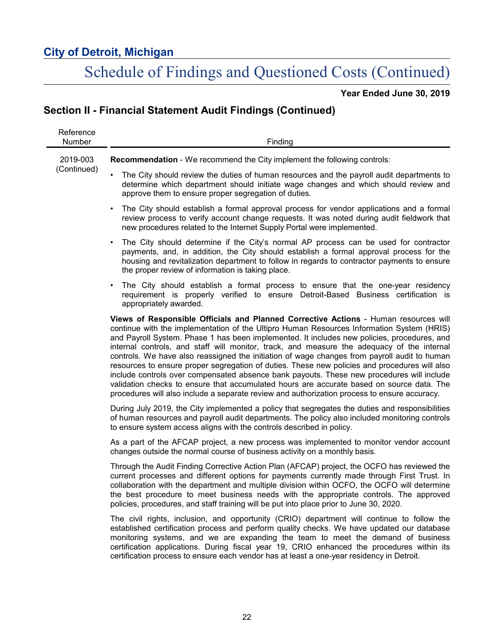# Schedule of Findings and Questioned Costs (Continued)

**Year Ended June 30, 2019**

## **Section II - Financial Statement Audit Findings (Continued)**

| Reference<br>Number     | Finding                                                                                                                                                                                                                                                                                                                                                                                                                                                                                                                                                                                                                                                                                                                                                                                                                                                                   |
|-------------------------|---------------------------------------------------------------------------------------------------------------------------------------------------------------------------------------------------------------------------------------------------------------------------------------------------------------------------------------------------------------------------------------------------------------------------------------------------------------------------------------------------------------------------------------------------------------------------------------------------------------------------------------------------------------------------------------------------------------------------------------------------------------------------------------------------------------------------------------------------------------------------|
| 2019-003<br>(Continued) | Recommendation - We recommend the City implement the following controls:                                                                                                                                                                                                                                                                                                                                                                                                                                                                                                                                                                                                                                                                                                                                                                                                  |
|                         | The City should review the duties of human resources and the payroll audit departments to<br>determine which department should initiate wage changes and which should review and<br>approve them to ensure proper segregation of duties.                                                                                                                                                                                                                                                                                                                                                                                                                                                                                                                                                                                                                                  |
|                         | The City should establish a formal approval process for vendor applications and a formal<br>review process to verify account change requests. It was noted during audit fieldwork that<br>new procedures related to the Internet Supply Portal were implemented.                                                                                                                                                                                                                                                                                                                                                                                                                                                                                                                                                                                                          |
|                         | The City should determine if the City's normal AP process can be used for contractor<br>payments, and, in addition, the City should establish a formal approval process for the<br>housing and revitalization department to follow in regards to contractor payments to ensure<br>the proper review of information is taking place.                                                                                                                                                                                                                                                                                                                                                                                                                                                                                                                                       |
|                         | The City should establish a formal process to ensure that the one-year residency<br>requirement is properly verified to ensure Detroit-Based Business certification is<br>appropriately awarded.                                                                                                                                                                                                                                                                                                                                                                                                                                                                                                                                                                                                                                                                          |
|                         | Views of Responsible Officials and Planned Corrective Actions - Human resources will<br>continue with the implementation of the Ultipro Human Resources Information System (HRIS)<br>and Payroll System. Phase 1 has been implemented. It includes new policies, procedures, and<br>internal controls, and staff will monitor, track, and measure the adequacy of the internal<br>controls. We have also reassigned the initiation of wage changes from payroll audit to human<br>resources to ensure proper segregation of duties. These new policies and procedures will also<br>include controls over compensated absence bank payouts. These new procedures will include<br>validation checks to ensure that accumulated hours are accurate based on source data. The<br>procedures will also include a separate review and authorization process to ensure accuracy. |
|                         | During July 2019, the City implemented a policy that segregates the duties and responsibilities<br>of human resources and payroll audit departments. The policy also included monitoring controls<br>to ensure system access aligns with the controls described in policy.                                                                                                                                                                                                                                                                                                                                                                                                                                                                                                                                                                                                |
|                         | As a part of the AFCAP project, a new process was implemented to monitor vendor account<br>changes outside the normal course of business activity on a monthly basis.                                                                                                                                                                                                                                                                                                                                                                                                                                                                                                                                                                                                                                                                                                     |
|                         | Through the Audit Finding Corrective Action Plan (AFCAP) project, the OCFO has reviewed the<br>current processes and different options for payments currently made through First Trust. In<br>collaboration with the department and multiple division within OCFO, the OCFO will determine<br>the best procedure to meet business needs with the appropriate controls. The approved<br>policies, procedures, and staff training will be put into place prior to June 30, 2020.                                                                                                                                                                                                                                                                                                                                                                                            |
|                         | The civil rights, inclusion, and opportunity (CRIO) department will continue to follow the<br>established certification process and perform quality checks. We have updated our database<br>monitoring systems, and we are expanding the team to meet the demand of business<br>certification applications. During fiscal year 19, CRIO enhanced the procedures within its<br>certification process to ensure each vendor has at least a one-year residency in Detroit.                                                                                                                                                                                                                                                                                                                                                                                                   |
|                         |                                                                                                                                                                                                                                                                                                                                                                                                                                                                                                                                                                                                                                                                                                                                                                                                                                                                           |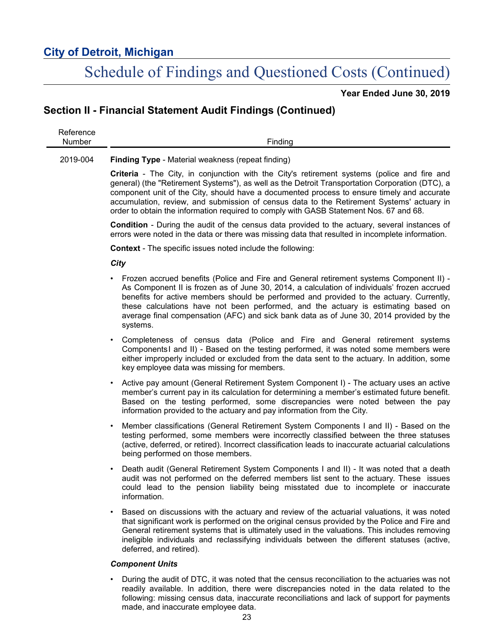# Schedule of Findings and Questioned Costs (Continued)

**Year Ended June 30, 2019**

## **Section II - Financial Statement Audit Findings (Continued)**

| Reference<br>Number | Finding                                                                                                                                                                                                                                                                                                                                                                                                                                                                             |
|---------------------|-------------------------------------------------------------------------------------------------------------------------------------------------------------------------------------------------------------------------------------------------------------------------------------------------------------------------------------------------------------------------------------------------------------------------------------------------------------------------------------|
| 2019-004            | <b>Finding Type - Material weakness (repeat finding)</b>                                                                                                                                                                                                                                                                                                                                                                                                                            |
|                     | Criteria - The City, in conjunction with the City's retirement systems (police and fire and<br>general) (the "Retirement Systems"), as well as the Detroit Transportation Corporation (DTC), a<br>component unit of the City, should have a documented process to ensure timely and accurate<br>accumulation, review, and submission of census data to the Retirement Systems' actuary in<br>order to obtain the information required to comply with GASB Statement Nos. 67 and 68. |
|                     | <b>Condition</b> - During the audit of the census data provided to the actuary, several instances of<br>errors were noted in the data or there was missing data that resulted in incomplete information.                                                                                                                                                                                                                                                                            |
|                     | <b>Context</b> - The specific issues noted include the following:                                                                                                                                                                                                                                                                                                                                                                                                                   |
|                     | City                                                                                                                                                                                                                                                                                                                                                                                                                                                                                |
|                     | Frozen accrued benefits (Police and Fire and General retirement systems Component II) -<br>٠<br>As Component II is frozen as of June 30, 2014, a calculation of individuals' frozen accrued<br>benefits for active members should be performed and provided to the actuary. Currently,<br>these calculations have not been performed, and the actuary is estimating based on<br>average final compensation (AFC) and sick bank data as of June 30, 2014 provided by the<br>systems. |
|                     | Completeness of census data (Police and Fire and General retirement systems<br>٠<br>ComponentsI and II) - Based on the testing performed, it was noted some members were<br>either improperly included or excluded from the data sent to the actuary. In addition, some<br>key employee data was missing for members.                                                                                                                                                               |
|                     | Active pay amount (General Retirement System Component I) - The actuary uses an active<br>٠<br>member's current pay in its calculation for determining a member's estimated future benefit.<br>Based on the testing performed, some discrepancies were noted between the pay<br>information provided to the actuary and pay information from the City.                                                                                                                              |
|                     | Member classifications (General Retirement System Components I and II) - Based on the<br>$\bullet$<br>testing performed, some members were incorrectly classified between the three statuses<br>(active, deferred, or retired). Incorrect classification leads to inaccurate actuarial calculations<br>being performed on those members.                                                                                                                                            |
|                     | Death audit (General Retirement System Components I and II) - It was noted that a death<br>٠<br>audit was not performed on the deferred members list sent to the actuary. These issues<br>could lead to the pension liability being misstated due to incomplete or inaccurate<br>information.                                                                                                                                                                                       |
|                     | Based on discussions with the actuary and review of the actuarial valuations, it was noted<br>$\bullet$<br>that significant work is performed on the original census provided by the Police and Fire and<br>General retirement systems that is ultimately used in the valuations. This includes removing<br>ineligible individuals and reclassifying individuals between the different statuses (active,<br>deferred, and retired).                                                 |
|                     | <b>Component Units</b>                                                                                                                                                                                                                                                                                                                                                                                                                                                              |

• During the audit of DTC, it was noted that the census reconciliation to the actuaries was not readily available. In addition, there were discrepancies noted in the data related to the following: missing census data, inaccurate reconciliations and lack of support for payments made, and inaccurate employee data.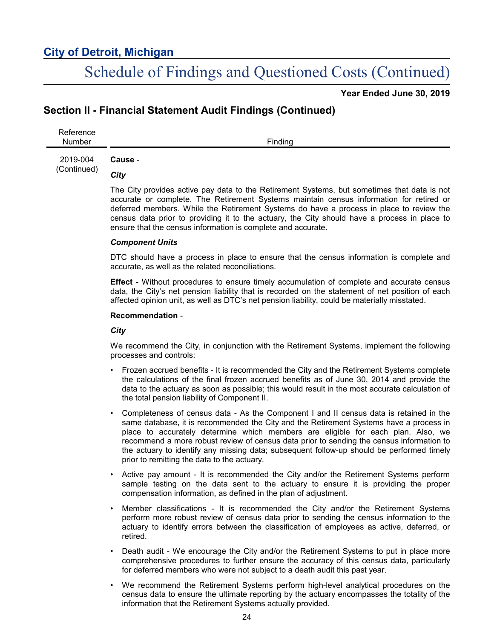# Schedule of Findings and Questioned Costs (Continued)

**Year Ended June 30, 2019**

### **Section II - Financial Statement Audit Findings (Continued)**

Reference Number Finding **Cause** -

2019-004 (Continued)

### *City*

The City provides active pay data to the Retirement Systems, but sometimes that data is not accurate or complete. The Retirement Systems maintain census information for retired or deferred members. While the Retirement Systems do have a process in place to review the census data prior to providing it to the actuary, the City should have a process in place to ensure that the census information is complete and accurate.

#### *Component Units*

DTC should have a process in place to ensure that the census information is complete and accurate, as well as the related reconciliations.

**Effect** - Without procedures to ensure timely accumulation of complete and accurate census data, the City's net pension liability that is recorded on the statement of net position of each affected opinion unit, as well as DTC's net pension liability, could be materially misstated.

#### **Recommendation** -

### *City*

We recommend the City, in conjunction with the Retirement Systems, implement the following processes and controls:

- Frozen accrued benefits It is recommended the City and the Retirement Systems complete the calculations of the final frozen accrued benefits as of June 30, 2014 and provide the data to the actuary as soon as possible; this would result in the most accurate calculation of the total pension liability of Component II.
- Completeness of census data As the Component I and II census data is retained in the same database, it is recommended the City and the Retirement Systems have a process in place to accurately determine which members are eligible for each plan. Also, we recommend a more robust review of census data prior to sending the census information to the actuary to identify any missing data; subsequent follow-up should be performed timely prior to remitting the data to the actuary.
- Active pay amount It is recommended the City and/or the Retirement Systems perform sample testing on the data sent to the actuary to ensure it is providing the proper compensation information, as defined in the plan of adjustment.
- Member classifications It is recommended the City and/or the Retirement Systems perform more robust review of census data prior to sending the census information to the actuary to identify errors between the classification of employees as active, deferred, or retired.
- Death audit We encourage the City and/or the Retirement Systems to put in place more comprehensive procedures to further ensure the accuracy of this census data, particularly for deferred members who were not subject to a death audit this past year.
- We recommend the Retirement Systems perform high-level analytical procedures on the census data to ensure the ultimate reporting by the actuary encompasses the totality of the information that the Retirement Systems actually provided.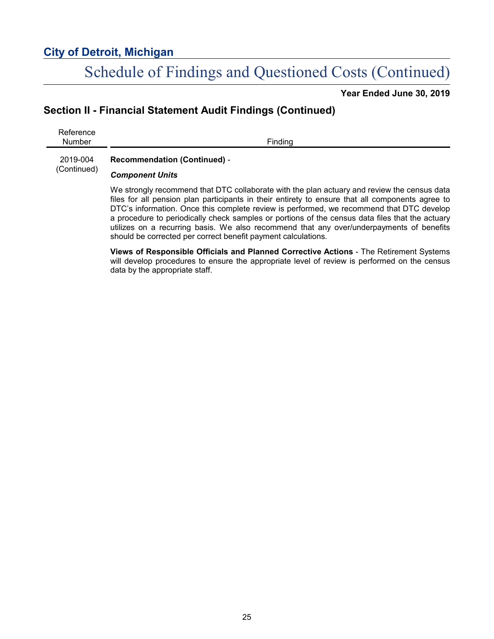# Schedule of Findings and Questioned Costs (Continued)

**Year Ended June 30, 2019**

## **Section II - Financial Statement Audit Findings (Continued)**

Reference Number Finding 2019-004 (Continued) **Recommendation (Continued)** - *Component Units* We strongly recommend that DTC collaborate with the plan actuary and review the census data

files for all pension plan participants in their entirety to ensure that all components agree to DTC's information. Once this complete review is performed, we recommend that DTC develop a procedure to periodically check samples or portions of the census data files that the actuary utilizes on a recurring basis. We also recommend that any over/underpayments of benefits should be corrected per correct benefit payment calculations.

**Views of Responsible Officials and Planned Corrective Actions** - The Retirement Systems will develop procedures to ensure the appropriate level of review is performed on the census data by the appropriate staff.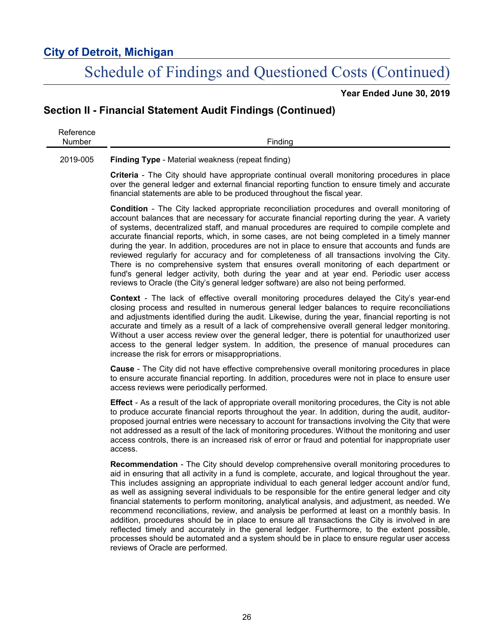# Schedule of Findings and Questioned Costs (Continued)

**Year Ended June 30, 2019**

## **Section II - Financial Statement Audit Findings (Continued)**

| Reference |         |
|-----------|---------|
| Number    | Finding |
|           |         |

#### 2019-005 **Finding Type** - Material weakness (repeat finding)

**Criteria** - The City should have appropriate continual overall monitoring procedures in place over the general ledger and external financial reporting function to ensure timely and accurate financial statements are able to be produced throughout the fiscal year.

**Condition** - The City lacked appropriate reconciliation procedures and overall monitoring of account balances that are necessary for accurate financial reporting during the year. A variety of systems, decentralized staff, and manual procedures are required to compile complete and accurate financial reports, which, in some cases, are not being completed in a timely manner during the year. In addition, procedures are not in place to ensure that accounts and funds are reviewed regularly for accuracy and for completeness of all transactions involving the City. There is no comprehensive system that ensures overall monitoring of each department or fund's general ledger activity, both during the year and at year end. Periodic user access reviews to Oracle (the City's general ledger software) are also not being performed.

**Context** - The lack of effective overall monitoring procedures delayed the City's year-end closing process and resulted in numerous general ledger balances to require reconciliations and adjustments identified during the audit. Likewise, during the year, financial reporting is not accurate and timely as a result of a lack of comprehensive overall general ledger monitoring. Without a user access review over the general ledger, there is potential for unauthorized user access to the general ledger system. In addition, the presence of manual procedures can increase the risk for errors or misappropriations.

**Cause** - The City did not have effective comprehensive overall monitoring procedures in place to ensure accurate financial reporting. In addition, procedures were not in place to ensure user access reviews were periodically performed.

**Effect** - As a result of the lack of appropriate overall monitoring procedures, the City is not able to produce accurate financial reports throughout the year. In addition, during the audit, auditorproposed journal entries were necessary to account for transactions involving the City that were not addressed as a result of the lack of monitoring procedures. Without the monitoring and user access controls, there is an increased risk of error or fraud and potential for inappropriate user access.

**Recommendation** - The City should develop comprehensive overall monitoring procedures to aid in ensuring that all activity in a fund is complete, accurate, and logical throughout the year. This includes assigning an appropriate individual to each general ledger account and/or fund, as well as assigning several individuals to be responsible for the entire general ledger and city financial statements to perform monitoring, analytical analysis, and adjustment, as needed. We recommend reconciliations, review, and analysis be performed at least on a monthly basis. In addition, procedures should be in place to ensure all transactions the City is involved in are reflected timely and accurately in the general ledger. Furthermore, to the extent possible, processes should be automated and a system should be in place to ensure regular user access reviews of Oracle are performed.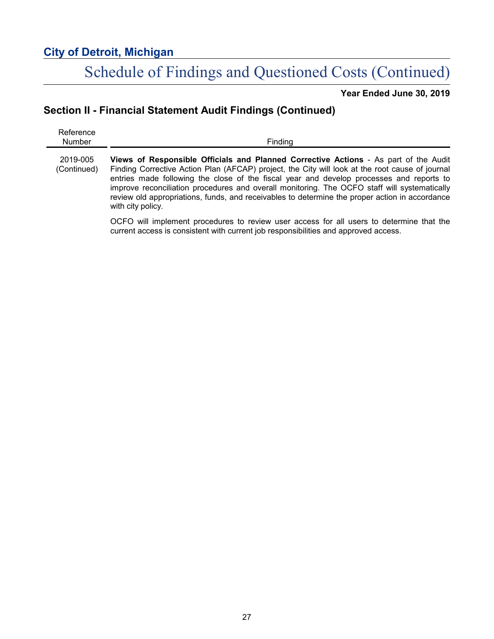# Schedule of Findings and Questioned Costs (Continued)

**Year Ended June 30, 2019**

## **Section II - Financial Statement Audit Findings (Continued)**

| Reference<br><b>Number</b> | Finding                                                                                                                                                                                                                                                                                                                                                                                                                                                                                                    |
|----------------------------|------------------------------------------------------------------------------------------------------------------------------------------------------------------------------------------------------------------------------------------------------------------------------------------------------------------------------------------------------------------------------------------------------------------------------------------------------------------------------------------------------------|
| 2019-005<br>(Continued)    | Views of Responsible Officials and Planned Corrective Actions - As part of the Audit<br>Finding Corrective Action Plan (AFCAP) project, the City will look at the root cause of journal<br>entries made following the close of the fiscal year and develop processes and reports to<br>improve reconciliation procedures and overall monitoring. The OCFO staff will systematically<br>review old appropriations, funds, and receivables to determine the proper action in accordance<br>with city policy. |
|                            | OCFO will implement procedures to review user access for all users to determine that the<br>current access is consistent with current job responsibilities and approved access.                                                                                                                                                                                                                                                                                                                            |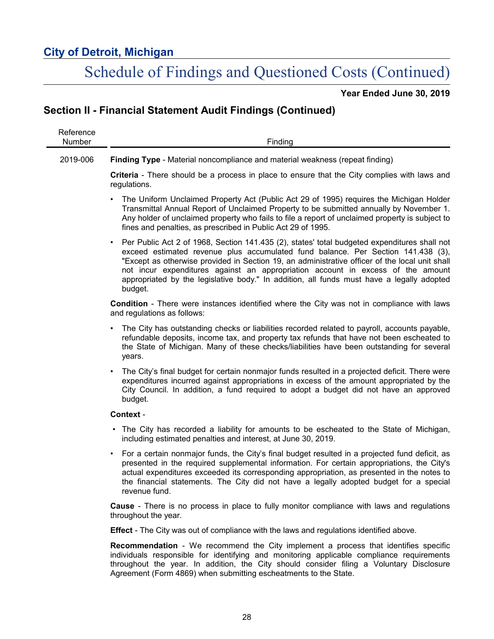L,

# Schedule of Findings and Questioned Costs (Continued)

**Year Ended June 30, 2019**

## **Section II - Financial Statement Audit Findings (Continued)**

| Reference<br><b>Number</b> | Finding                                                                                                                                                                                                                                                                                                                                                                                                                                                                                    |
|----------------------------|--------------------------------------------------------------------------------------------------------------------------------------------------------------------------------------------------------------------------------------------------------------------------------------------------------------------------------------------------------------------------------------------------------------------------------------------------------------------------------------------|
| 2019-006                   | <b>Finding Type - Material noncompliance and material weakness (repeat finding)</b>                                                                                                                                                                                                                                                                                                                                                                                                        |
|                            | Criteria - There should be a process in place to ensure that the City complies with laws and<br>regulations.                                                                                                                                                                                                                                                                                                                                                                               |
|                            | The Uniform Unclaimed Property Act (Public Act 29 of 1995) requires the Michigan Holder<br>$\bullet$<br>Transmittal Annual Report of Unclaimed Property to be submitted annually by November 1.<br>Any holder of unclaimed property who fails to file a report of unclaimed property is subject to<br>fines and penalties, as prescribed in Public Act 29 of 1995.                                                                                                                         |
|                            | Per Public Act 2 of 1968, Section 141.435 (2), states' total budgeted expenditures shall not<br>$\bullet$<br>exceed estimated revenue plus accumulated fund balance. Per Section 141.438 (3),<br>"Except as otherwise provided in Section 19, an administrative officer of the local unit shall<br>not incur expenditures against an appropriation account in excess of the amount<br>appropriated by the legislative body." In addition, all funds must have a legally adopted<br>budget. |
|                            | <b>Condition</b> - There were instances identified where the City was not in compliance with laws<br>and regulations as follows:                                                                                                                                                                                                                                                                                                                                                           |
|                            | The City has outstanding checks or liabilities recorded related to payroll, accounts payable,<br>refundable deposits, income tax, and property tax refunds that have not been escheated to<br>the State of Michigan. Many of these checks/liabilities have been outstanding for several<br>years.                                                                                                                                                                                          |
|                            | The City's final budget for certain nonmajor funds resulted in a projected deficit. There were<br>expenditures incurred against appropriations in excess of the amount appropriated by the<br>City Council. In addition, a fund required to adopt a budget did not have an approved<br>budget.                                                                                                                                                                                             |
|                            | Context -                                                                                                                                                                                                                                                                                                                                                                                                                                                                                  |
|                            | The City has recorded a liability for amounts to be escheated to the State of Michigan,<br>including estimated penalties and interest, at June 30, 2019.                                                                                                                                                                                                                                                                                                                                   |
|                            | For a certain nonmajor funds, the City's final budget resulted in a projected fund deficit, as<br>$\bullet$<br>presented in the required supplemental information. For certain appropriations, the City's<br>actual expenditures exceeded its corresponding appropriation, as presented in the notes to<br>the financial statements. The City did not have a legally adopted budget for a special<br>revenue fund.                                                                         |
|                            | <b>Cause</b> - There is no process in place to fully monitor compliance with laws and regulations<br>throughout the year.                                                                                                                                                                                                                                                                                                                                                                  |

**Effect** - The City was out of compliance with the laws and regulations identified above.

**Recommendation** - We recommend the City implement a process that identifies specific individuals responsible for identifying and monitoring applicable compliance requirements throughout the year. In addition, the City should consider filing a Voluntary Disclosure Agreement (Form 4869) when submitting escheatments to the State.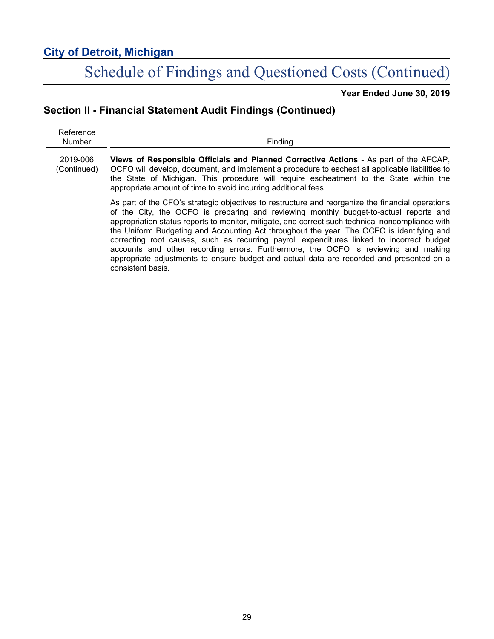# Schedule of Findings and Questioned Costs (Continued)

**Year Ended June 30, 2019**

## **Section II - Financial Statement Audit Findings (Continued)**

| Reference<br><b>Number</b> | Finding                                                                                                                                                                                                                                                                                                                                                                                                                                                                                                                                                                                                                                                                                        |
|----------------------------|------------------------------------------------------------------------------------------------------------------------------------------------------------------------------------------------------------------------------------------------------------------------------------------------------------------------------------------------------------------------------------------------------------------------------------------------------------------------------------------------------------------------------------------------------------------------------------------------------------------------------------------------------------------------------------------------|
| 2019-006<br>(Continued)    | Views of Responsible Officials and Planned Corrective Actions - As part of the AFCAP,<br>OCFO will develop, document, and implement a procedure to escheat all applicable liabilities to<br>the State of Michigan. This procedure will require escheatment to the State within the<br>appropriate amount of time to avoid incurring additional fees.                                                                                                                                                                                                                                                                                                                                           |
|                            | As part of the CFO's strategic objectives to restructure and reorganize the financial operations<br>of the City, the OCFO is preparing and reviewing monthly budget-to-actual reports and<br>appropriation status reports to monitor, mitigate, and correct such technical noncompliance with<br>the Uniform Budgeting and Accounting Act throughout the year. The OCFO is identifying and<br>correcting root causes, such as recurring payroll expenditures linked to incorrect budget<br>accounts and other recording errors. Furthermore, the OCFO is reviewing and making<br>appropriate adjustments to ensure budget and actual data are recorded and presented on a<br>consistent basis. |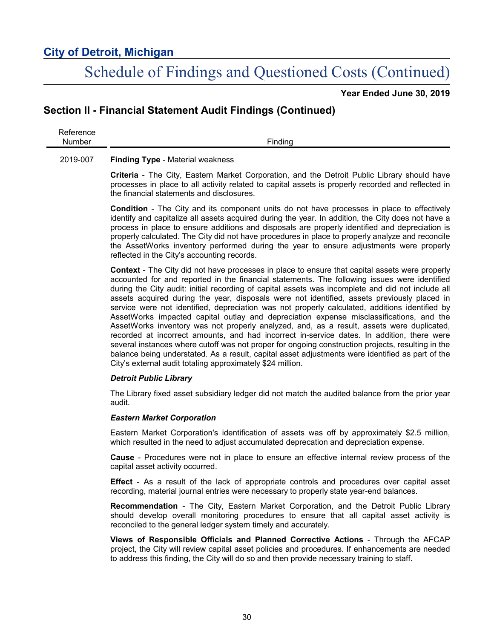# Schedule of Findings and Questioned Costs (Continued)

**Year Ended June 30, 2019**

### **Section II - Financial Statement Audit Findings (Continued)**

Reference Number Finding

#### 2019-007 **Finding Type** - Material weakness

**Criteria** - The City, Eastern Market Corporation, and the Detroit Public Library should have processes in place to all activity related to capital assets is properly recorded and reflected in the financial statements and disclosures.

**Condition** - The City and its component units do not have processes in place to effectively identify and capitalize all assets acquired during the year. In addition, the City does not have a process in place to ensure additions and disposals are properly identified and depreciation is properly calculated. The City did not have procedures in place to properly analyze and reconcile the AssetWorks inventory performed during the year to ensure adjustments were properly reflected in the City's accounting records.

**Context** - The City did not have processes in place to ensure that capital assets were properly accounted for and reported in the financial statements. The following issues were identified during the City audit: initial recording of capital assets was incomplete and did not include all assets acquired during the year, disposals were not identified, assets previously placed in service were not identified, depreciation was not properly calculated, additions identified by AssetWorks impacted capital outlay and depreciation expense misclassifications, and the AssetWorks inventory was not properly analyzed, and, as a result, assets were duplicated, recorded at incorrect amounts, and had incorrect in-service dates. In addition, there were several instances where cutoff was not proper for ongoing construction projects, resulting in the balance being understated. As a result, capital asset adjustments were identified as part of the City's external audit totaling approximately \$24 million.

### *Detroit Public Library*

The Library fixed asset subsidiary ledger did not match the audited balance from the prior year audit.

### *Eastern Market Corporation*

Eastern Market Corporation's identification of assets was off by approximately \$2.5 million, which resulted in the need to adjust accumulated deprecation and depreciation expense.

**Cause** - Procedures were not in place to ensure an effective internal review process of the capital asset activity occurred.

**Effect** - As a result of the lack of appropriate controls and procedures over capital asset recording, material journal entries were necessary to properly state year-end balances.

**Recommendation** - The City, Eastern Market Corporation, and the Detroit Public Library should develop overall monitoring procedures to ensure that all capital asset activity is reconciled to the general ledger system timely and accurately.

**Views of Responsible Officials and Planned Corrective Actions** - Through the AFCAP project, the City will review capital asset policies and procedures. If enhancements are needed to address this finding, the City will do so and then provide necessary training to staff.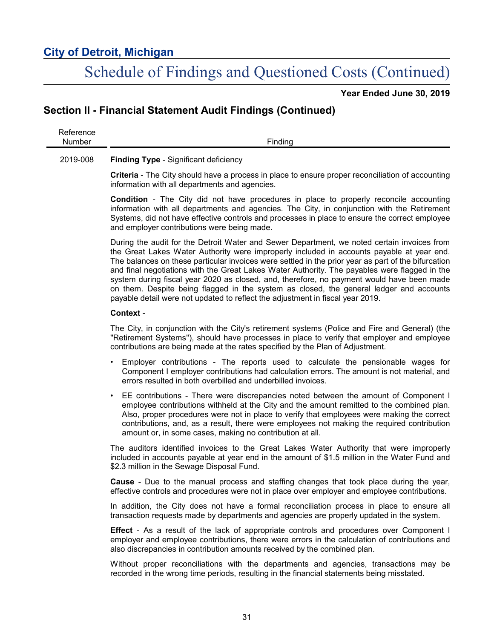# Schedule of Findings and Questioned Costs (Continued)

**Year Ended June 30, 2019**

### **Section II - Financial Statement Audit Findings (Continued)**

| Reference<br><b>Number</b> | Finding                                                                                                                                                                                                                                                                                                                                                                                                                                                                                                                                                                                                                                                                    |
|----------------------------|----------------------------------------------------------------------------------------------------------------------------------------------------------------------------------------------------------------------------------------------------------------------------------------------------------------------------------------------------------------------------------------------------------------------------------------------------------------------------------------------------------------------------------------------------------------------------------------------------------------------------------------------------------------------------|
| 2019-008                   | Finding Type - Significant deficiency                                                                                                                                                                                                                                                                                                                                                                                                                                                                                                                                                                                                                                      |
|                            | Criteria - The City should have a process in place to ensure proper reconciliation of accounting<br>information with all departments and agencies.                                                                                                                                                                                                                                                                                                                                                                                                                                                                                                                         |
|                            | <b>Condition</b> - The City did not have procedures in place to properly reconcile accounting<br>information with all departments and agencies. The City, in conjunction with the Retirement<br>Systems, did not have effective controls and processes in place to ensure the correct employee<br>and employer contributions were being made.                                                                                                                                                                                                                                                                                                                              |
|                            | During the audit for the Detroit Water and Sewer Department, we noted certain invoices from<br>the Great Lakes Water Authority were improperly included in accounts payable at year end.<br>The balances on these particular invoices were settled in the prior year as part of the bifurcation<br>and final negotiations with the Great Lakes Water Authority. The payables were flagged in the<br>system during fiscal year 2020 as closed, and, therefore, no payment would have been made<br>on them. Despite being flagged in the system as closed, the general ledger and accounts<br>payable detail were not updated to reflect the adjustment in fiscal year 2019. |
|                            | Context -                                                                                                                                                                                                                                                                                                                                                                                                                                                                                                                                                                                                                                                                  |
|                            | The City, in conjunction with the City's retirement systems (Police and Fire and General) (the<br>"Retirement Systems"), should have processes in place to verify that employer and employee<br>contributions are being made at the rates specified by the Plan of Adjustment.                                                                                                                                                                                                                                                                                                                                                                                             |
|                            | Employer contributions - The reports used to calculate the pensionable wages for<br>Component I employer contributions had calculation errors. The amount is not material, and<br>errors resulted in both overbilled and underbilled invoices.                                                                                                                                                                                                                                                                                                                                                                                                                             |
|                            | EE contributions - There were discrepancies noted between the amount of Component I<br>employee contributions withheld at the City and the amount remitted to the combined plan.<br>Also, proper procedures were not in place to verify that employees were making the correct<br>contributions, and, as a result, there were employees not making the required contribution<br>amount or, in some cases, making no contribution at all.                                                                                                                                                                                                                                   |
|                            | The auditors identified invoices to the Great Lakes Water Authority that were improperly<br>included in accounts payable at year end in the amount of \$1.5 million in the Water Fund and<br>\$2.3 million in the Sewage Disposal Fund.                                                                                                                                                                                                                                                                                                                                                                                                                                    |
|                            | <b>Cause</b> - Due to the manual process and staffing changes that took place during the year,<br>effective controls and procedures were not in place over employer and employee contributions.                                                                                                                                                                                                                                                                                                                                                                                                                                                                            |
|                            | In addition, the City does not have a formal reconciliation process in place to ensure all<br>transaction requests made by departments and agencies are properly updated in the system.                                                                                                                                                                                                                                                                                                                                                                                                                                                                                    |
|                            | <b>Effect</b> - As a result of the lack of appropriate controls and procedures over Component I<br>employer and employee contributions, there were errors in the calculation of contributions and                                                                                                                                                                                                                                                                                                                                                                                                                                                                          |

Without proper reconciliations with the departments and agencies, transactions may be recorded in the wrong time periods, resulting in the financial statements being misstated.

also discrepancies in contribution amounts received by the combined plan.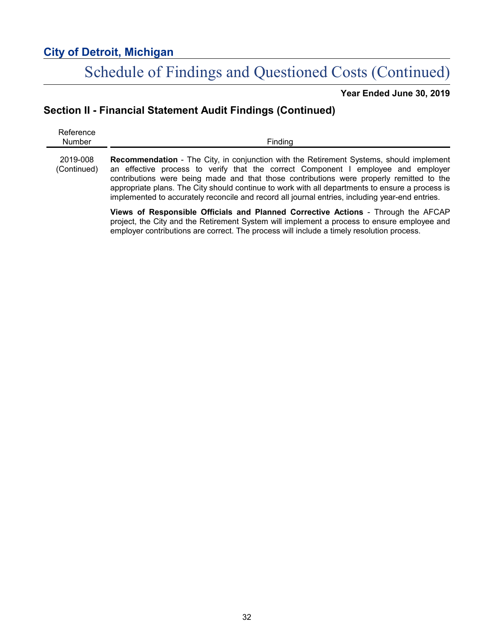# Schedule of Findings and Questioned Costs (Continued)

**Year Ended June 30, 2019**

## **Section II - Financial Statement Audit Findings (Continued)**

| Reference<br>Number     | Finding                                                                                                                                                                                                                                                                                                                                                                                                                                                                               |
|-------------------------|---------------------------------------------------------------------------------------------------------------------------------------------------------------------------------------------------------------------------------------------------------------------------------------------------------------------------------------------------------------------------------------------------------------------------------------------------------------------------------------|
| 2019-008<br>(Continued) | <b>Recommendation</b> - The City, in conjunction with the Retirement Systems, should implement<br>an effective process to verify that the correct Component I employee and employer<br>contributions were being made and that those contributions were properly remitted to the<br>appropriate plans. The City should continue to work with all departments to ensure a process is<br>implemented to accurately reconcile and record all journal entries, including year-end entries. |
|                         | Views of Responsible Officials and Planned Corrective Actions - Through the AFCAP<br>project, the City and the Retirement System will implement a process to ensure employee and                                                                                                                                                                                                                                                                                                      |

employer contributions are correct. The process will include a timely resolution process.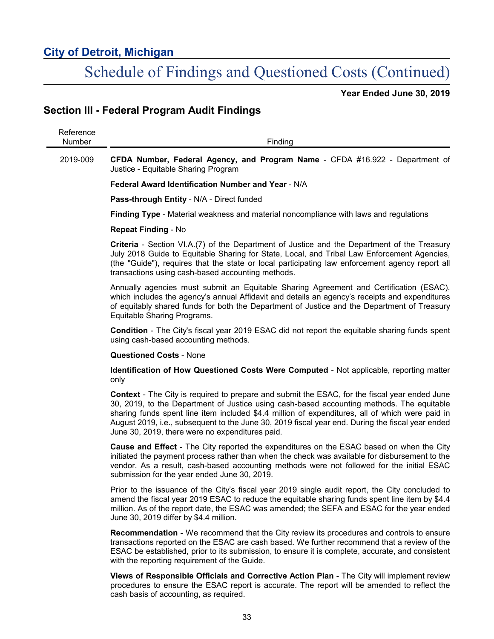# Schedule of Findings and Questioned Costs (Continued)

**Year Ended June 30, 2019**

## **Section III - Federal Program Audit Findings**

| Reference<br>Number | Finding                                                                                                                                                                                                                                                                                                                                                                                                                                                     |
|---------------------|-------------------------------------------------------------------------------------------------------------------------------------------------------------------------------------------------------------------------------------------------------------------------------------------------------------------------------------------------------------------------------------------------------------------------------------------------------------|
| 2019-009            | CFDA Number, Federal Agency, and Program Name - CFDA #16.922 - Department of<br>Justice - Equitable Sharing Program                                                                                                                                                                                                                                                                                                                                         |
|                     | Federal Award Identification Number and Year - N/A                                                                                                                                                                                                                                                                                                                                                                                                          |
|                     | Pass-through Entity - N/A - Direct funded                                                                                                                                                                                                                                                                                                                                                                                                                   |
|                     | Finding Type - Material weakness and material noncompliance with laws and regulations                                                                                                                                                                                                                                                                                                                                                                       |
|                     | <b>Repeat Finding - No</b>                                                                                                                                                                                                                                                                                                                                                                                                                                  |
|                     | <b>Criteria</b> - Section VI.A.(7) of the Department of Justice and the Department of the Treasury<br>July 2018 Guide to Equitable Sharing for State, Local, and Tribal Law Enforcement Agencies,<br>(the "Guide"), requires that the state or local participating law enforcement agency report all<br>transactions using cash-based accounting methods.                                                                                                   |
|                     | Annually agencies must submit an Equitable Sharing Agreement and Certification (ESAC),<br>which includes the agency's annual Affidavit and details an agency's receipts and expenditures<br>of equitably shared funds for both the Department of Justice and the Department of Treasury<br>Equitable Sharing Programs.                                                                                                                                      |
|                     | <b>Condition</b> - The City's fiscal year 2019 ESAC did not report the equitable sharing funds spent<br>using cash-based accounting methods.                                                                                                                                                                                                                                                                                                                |
|                     | <b>Questioned Costs - None</b>                                                                                                                                                                                                                                                                                                                                                                                                                              |
|                     | <b>Identification of How Questioned Costs Were Computed - Not applicable, reporting matter</b><br>only                                                                                                                                                                                                                                                                                                                                                      |
|                     | <b>Context</b> - The City is required to prepare and submit the ESAC, for the fiscal year ended June<br>30, 2019, to the Department of Justice using cash-based accounting methods. The equitable<br>sharing funds spent line item included \$4.4 million of expenditures, all of which were paid in<br>August 2019, i.e., subsequent to the June 30, 2019 fiscal year end. During the fiscal year ended<br>June 30, 2019, there were no expenditures paid. |
|                     | <b>Cause and Effect</b> - The City reported the expenditures on the ESAC based on when the City<br>initiated the payment process rather than when the check was available for disbursement to the<br>vendor. As a result, cash-based accounting methods were not followed for the initial ESAC<br>submission for the year ended June 30, 2019.                                                                                                              |
|                     | Prior to the issuance of the City's fiscal year 2019 single audit report, the City concluded to<br>amend the fiscal year 2019 ESAC to reduce the equitable sharing funds spent line item by \$4.4<br>million. As of the report date, the ESAC was amended; the SEFA and ESAC for the year ended<br>June 30, 2019 differ by \$4.4 million.                                                                                                                   |
|                     | <b>Recommendation</b> - We recommend that the City review its procedures and controls to ensure<br>transactions reported on the ESAC are cash based. We further recommend that a review of the<br>ESAC be established, prior to its submission, to ensure it is complete, accurate, and consistent<br>with the reporting requirement of the Guide.                                                                                                          |
|                     | Views of Responsible Officials and Corrective Action Plan - The City will implement review<br>procedures to ensure the ESAC report is accurate. The report will be amended to reflect the<br>cash basis of accounting, as required.                                                                                                                                                                                                                         |